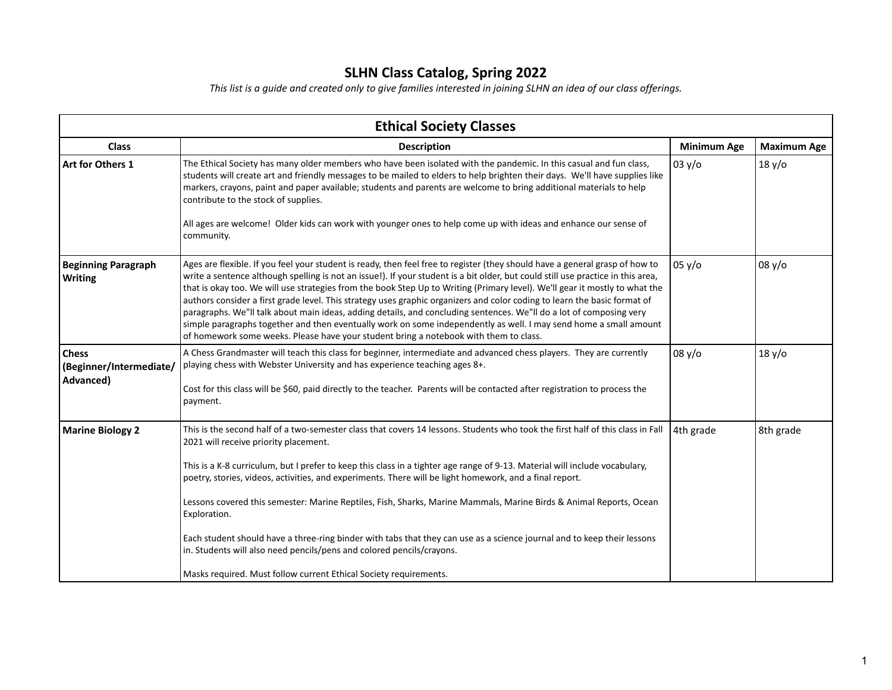## **SLHN Class Catalog, Spring 2022**

*This list is a guide and created only to give families interested in joining SLHN an idea of our class offerings.*

| <b>Minimum Age</b><br>03 y/o | <b>Maximum Age</b><br>18 y/o |
|------------------------------|------------------------------|
|                              |                              |
|                              |                              |
|                              |                              |
| 05 y/o                       | 08 y/o                       |
| 08 y/o                       | 18 y/o                       |
| 4th grade                    | 8th grade                    |
|                              |                              |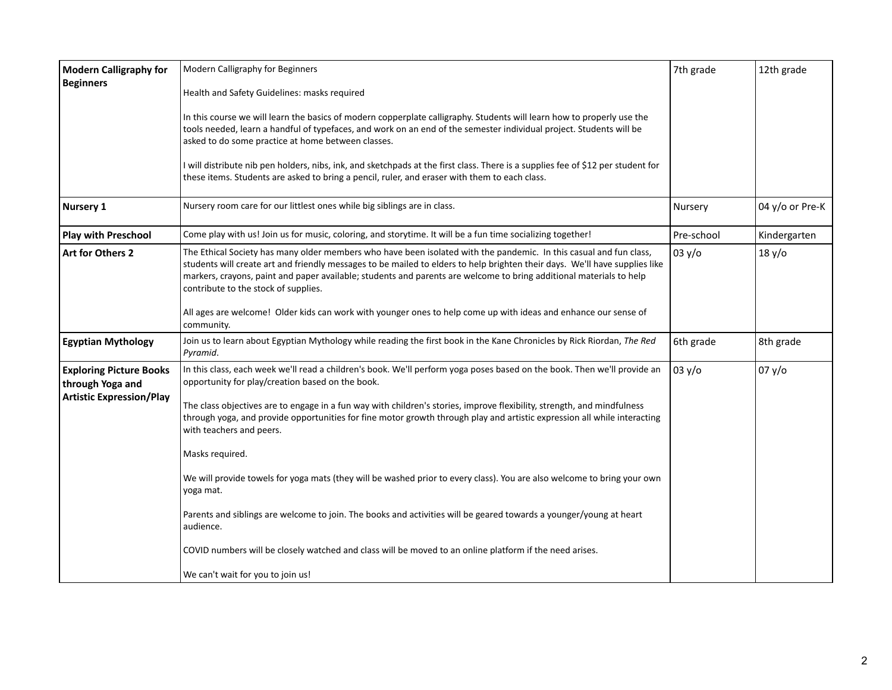| <b>Modern Calligraphy for</b><br><b>Beginners</b>                                     | Modern Calligraphy for Beginners<br>Health and Safety Guidelines: masks required<br>In this course we will learn the basics of modern copperplate calligraphy. Students will learn how to properly use the<br>tools needed, learn a handful of typefaces, and work on an end of the semester individual project. Students will be<br>asked to do some practice at home between classes.<br>I will distribute nib pen holders, nibs, ink, and sketchpads at the first class. There is a supplies fee of \$12 per student for<br>these items. Students are asked to bring a pencil, ruler, and eraser with them to each class.                                                                                                                                                                                                                                                                                  | 7th grade  | 12th grade      |
|---------------------------------------------------------------------------------------|---------------------------------------------------------------------------------------------------------------------------------------------------------------------------------------------------------------------------------------------------------------------------------------------------------------------------------------------------------------------------------------------------------------------------------------------------------------------------------------------------------------------------------------------------------------------------------------------------------------------------------------------------------------------------------------------------------------------------------------------------------------------------------------------------------------------------------------------------------------------------------------------------------------|------------|-----------------|
| <b>Nursery 1</b>                                                                      | Nursery room care for our littlest ones while big siblings are in class.                                                                                                                                                                                                                                                                                                                                                                                                                                                                                                                                                                                                                                                                                                                                                                                                                                      | Nursery    | 04 y/o or Pre-K |
| <b>Play with Preschool</b>                                                            | Come play with us! Join us for music, coloring, and storytime. It will be a fun time socializing together!                                                                                                                                                                                                                                                                                                                                                                                                                                                                                                                                                                                                                                                                                                                                                                                                    | Pre-school | Kindergarten    |
| Art for Others 2                                                                      | The Ethical Society has many older members who have been isolated with the pandemic. In this casual and fun class,<br>students will create art and friendly messages to be mailed to elders to help brighten their days. We'll have supplies like<br>markers, crayons, paint and paper available; students and parents are welcome to bring additional materials to help<br>contribute to the stock of supplies.<br>All ages are welcome! Older kids can work with younger ones to help come up with ideas and enhance our sense of<br>community.                                                                                                                                                                                                                                                                                                                                                             | 03 y/o     | 18 y/o          |
| <b>Egyptian Mythology</b>                                                             | Join us to learn about Egyptian Mythology while reading the first book in the Kane Chronicles by Rick Riordan, The Red<br>Pyramid.                                                                                                                                                                                                                                                                                                                                                                                                                                                                                                                                                                                                                                                                                                                                                                            | 6th grade  | 8th grade       |
| <b>Exploring Picture Books</b><br>through Yoga and<br><b>Artistic Expression/Play</b> | In this class, each week we'll read a children's book. We'll perform yoga poses based on the book. Then we'll provide an<br>opportunity for play/creation based on the book.<br>The class objectives are to engage in a fun way with children's stories, improve flexibility, strength, and mindfulness<br>through yoga, and provide opportunities for fine motor growth through play and artistic expression all while interacting<br>with teachers and peers.<br>Masks required.<br>We will provide towels for yoga mats (they will be washed prior to every class). You are also welcome to bring your own<br>yoga mat.<br>Parents and siblings are welcome to join. The books and activities will be geared towards a younger/young at heart<br>audience.<br>COVID numbers will be closely watched and class will be moved to an online platform if the need arises.<br>We can't wait for you to join us! | 03 y/o     | 07 y/o          |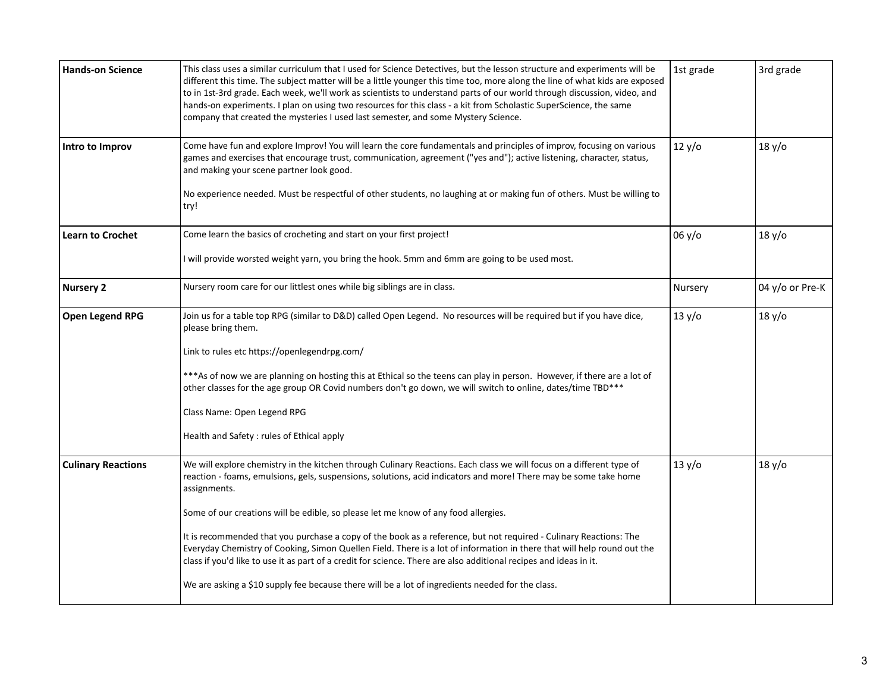| <b>Hands-on Science</b>   | This class uses a similar curriculum that I used for Science Detectives, but the lesson structure and experiments will be<br>different this time. The subject matter will be a little younger this time too, more along the line of what kids are exposed<br>to in 1st-3rd grade. Each week, we'll work as scientists to understand parts of our world through discussion, video, and<br>hands-on experiments. I plan on using two resources for this class - a kit from Scholastic SuperScience, the same<br>company that created the mysteries I used last semester, and some Mystery Science.                                                                                                                                                                                                                        | 1st grade | 3rd grade       |
|---------------------------|-------------------------------------------------------------------------------------------------------------------------------------------------------------------------------------------------------------------------------------------------------------------------------------------------------------------------------------------------------------------------------------------------------------------------------------------------------------------------------------------------------------------------------------------------------------------------------------------------------------------------------------------------------------------------------------------------------------------------------------------------------------------------------------------------------------------------|-----------|-----------------|
| Intro to Improv           | Come have fun and explore Improv! You will learn the core fundamentals and principles of improv, focusing on various<br>games and exercises that encourage trust, communication, agreement ("yes and"); active listening, character, status,<br>and making your scene partner look good.<br>No experience needed. Must be respectful of other students, no laughing at or making fun of others. Must be willing to<br>try!                                                                                                                                                                                                                                                                                                                                                                                              | 12 y/o    | 18 y/o          |
| <b>Learn to Crochet</b>   | Come learn the basics of crocheting and start on your first project!<br>I will provide worsted weight yarn, you bring the hook. 5mm and 6mm are going to be used most.                                                                                                                                                                                                                                                                                                                                                                                                                                                                                                                                                                                                                                                  | 06 y/o    | 18 y/o          |
| <b>Nursery 2</b>          | Nursery room care for our littlest ones while big siblings are in class.                                                                                                                                                                                                                                                                                                                                                                                                                                                                                                                                                                                                                                                                                                                                                | Nursery   | 04 y/o or Pre-K |
| Open Legend RPG           | Join us for a table top RPG (similar to D&D) called Open Legend. No resources will be required but if you have dice,<br>please bring them.<br>Link to rules etc https://openlegendrpg.com/<br>*** As of now we are planning on hosting this at Ethical so the teens can play in person. However, if there are a lot of<br>other classes for the age group OR Covid numbers don't go down, we will switch to online, dates/time TBD***<br>Class Name: Open Legend RPG<br>Health and Safety : rules of Ethical apply                                                                                                                                                                                                                                                                                                      | 13 y/o    | 18 y/o          |
| <b>Culinary Reactions</b> | We will explore chemistry in the kitchen through Culinary Reactions. Each class we will focus on a different type of<br>reaction - foams, emulsions, gels, suspensions, solutions, acid indicators and more! There may be some take home<br>assignments.<br>Some of our creations will be edible, so please let me know of any food allergies.<br>It is recommended that you purchase a copy of the book as a reference, but not required - Culinary Reactions: The<br>Everyday Chemistry of Cooking, Simon Quellen Field. There is a lot of information in there that will help round out the<br>class if you'd like to use it as part of a credit for science. There are also additional recipes and ideas in it.<br>We are asking a \$10 supply fee because there will be a lot of ingredients needed for the class. | 13 y/o    | 18 y/o          |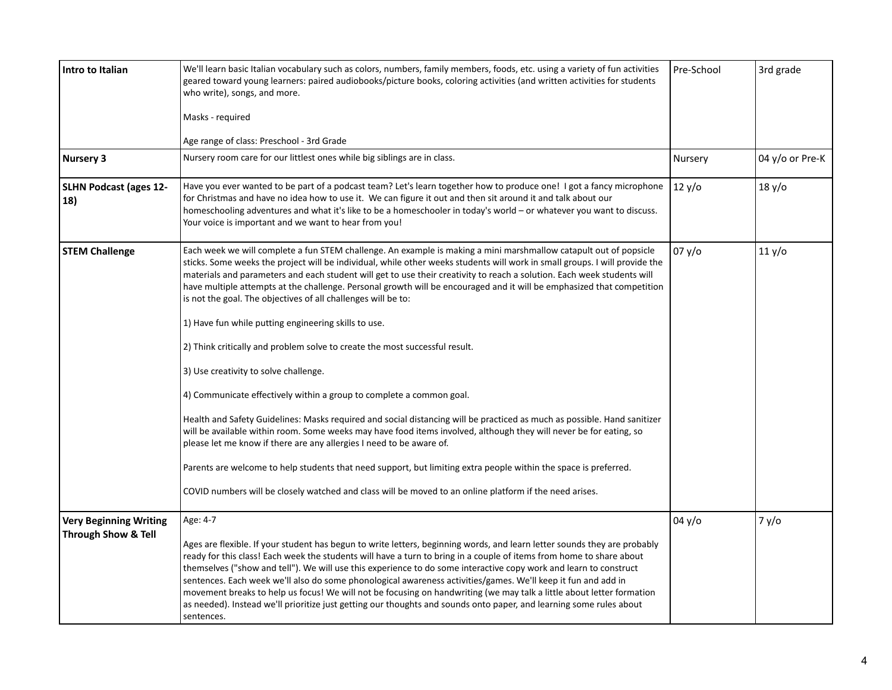| <b>Intro to Italian</b>              | We'll learn basic Italian vocabulary such as colors, numbers, family members, foods, etc. using a variety of fun activities<br>geared toward young learners: paired audiobooks/picture books, coloring activities (and written activities for students<br>who write), songs, and more.                                                                                                                                                                                                                                                                                                                                                                                                                                                                | Pre-School | 3rd grade       |
|--------------------------------------|-------------------------------------------------------------------------------------------------------------------------------------------------------------------------------------------------------------------------------------------------------------------------------------------------------------------------------------------------------------------------------------------------------------------------------------------------------------------------------------------------------------------------------------------------------------------------------------------------------------------------------------------------------------------------------------------------------------------------------------------------------|------------|-----------------|
|                                      | Masks - required                                                                                                                                                                                                                                                                                                                                                                                                                                                                                                                                                                                                                                                                                                                                      |            |                 |
|                                      | Age range of class: Preschool - 3rd Grade                                                                                                                                                                                                                                                                                                                                                                                                                                                                                                                                                                                                                                                                                                             |            |                 |
| <b>Nursery 3</b>                     | Nursery room care for our littlest ones while big siblings are in class.                                                                                                                                                                                                                                                                                                                                                                                                                                                                                                                                                                                                                                                                              | Nursery    | 04 y/o or Pre-K |
| <b>SLHN Podcast (ages 12-</b><br>18) | Have you ever wanted to be part of a podcast team? Let's learn together how to produce one! I got a fancy microphone<br>for Christmas and have no idea how to use it. We can figure it out and then sit around it and talk about our<br>homeschooling adventures and what it's like to be a homeschooler in today's world - or whatever you want to discuss.<br>Your voice is important and we want to hear from you!                                                                                                                                                                                                                                                                                                                                 | 12 y/o     | 18 y/o          |
| <b>STEM Challenge</b>                | Each week we will complete a fun STEM challenge. An example is making a mini marshmallow catapult out of popsicle<br>sticks. Some weeks the project will be individual, while other weeks students will work in small groups. I will provide the<br>materials and parameters and each student will get to use their creativity to reach a solution. Each week students will<br>have multiple attempts at the challenge. Personal growth will be encouraged and it will be emphasized that competition<br>is not the goal. The objectives of all challenges will be to:                                                                                                                                                                                | 07 y/o     | 11 y/o          |
|                                      | 1) Have fun while putting engineering skills to use.                                                                                                                                                                                                                                                                                                                                                                                                                                                                                                                                                                                                                                                                                                  |            |                 |
|                                      | 2) Think critically and problem solve to create the most successful result.                                                                                                                                                                                                                                                                                                                                                                                                                                                                                                                                                                                                                                                                           |            |                 |
|                                      | 3) Use creativity to solve challenge.                                                                                                                                                                                                                                                                                                                                                                                                                                                                                                                                                                                                                                                                                                                 |            |                 |
|                                      | 4) Communicate effectively within a group to complete a common goal.                                                                                                                                                                                                                                                                                                                                                                                                                                                                                                                                                                                                                                                                                  |            |                 |
|                                      | Health and Safety Guidelines: Masks required and social distancing will be practiced as much as possible. Hand sanitizer<br>will be available within room. Some weeks may have food items involved, although they will never be for eating, so<br>please let me know if there are any allergies I need to be aware of.                                                                                                                                                                                                                                                                                                                                                                                                                                |            |                 |
|                                      | Parents are welcome to help students that need support, but limiting extra people within the space is preferred.                                                                                                                                                                                                                                                                                                                                                                                                                                                                                                                                                                                                                                      |            |                 |
|                                      | COVID numbers will be closely watched and class will be moved to an online platform if the need arises.                                                                                                                                                                                                                                                                                                                                                                                                                                                                                                                                                                                                                                               |            |                 |
| <b>Very Beginning Writing</b>        | Age: 4-7                                                                                                                                                                                                                                                                                                                                                                                                                                                                                                                                                                                                                                                                                                                                              | 04 y/o     | 7 y/o           |
| <b>Through Show &amp; Tell</b>       | Ages are flexible. If your student has begun to write letters, beginning words, and learn letter sounds they are probably<br>ready for this class! Each week the students will have a turn to bring in a couple of items from home to share about<br>themselves ("show and tell"). We will use this experience to do some interactive copy work and learn to construct<br>sentences. Each week we'll also do some phonological awareness activities/games. We'll keep it fun and add in<br>movement breaks to help us focus! We will not be focusing on handwriting (we may talk a little about letter formation<br>as needed). Instead we'll prioritize just getting our thoughts and sounds onto paper, and learning some rules about<br>sentences. |            |                 |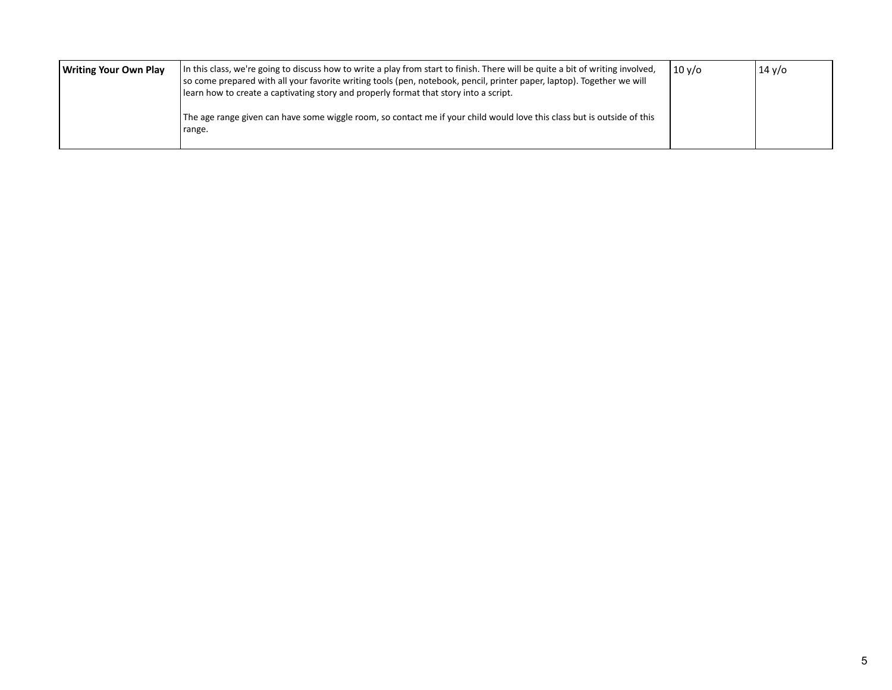|  | Writing Your Own Play | In this class, we're going to discuss how to write a play from start to finish. There will be quite a bit of writing involved,<br>so come prepared with all your favorite writing tools (pen, notebook, pencil, printer paper, laptop). Together we will<br>learn how to create a captivating story and properly format that story into a script.<br>The age range given can have some wiggle room, so contact me if your child would love this class but is outside of this<br>range. | $10v$ o | $14 \sqrt{o}$ |
|--|-----------------------|----------------------------------------------------------------------------------------------------------------------------------------------------------------------------------------------------------------------------------------------------------------------------------------------------------------------------------------------------------------------------------------------------------------------------------------------------------------------------------------|---------|---------------|
|--|-----------------------|----------------------------------------------------------------------------------------------------------------------------------------------------------------------------------------------------------------------------------------------------------------------------------------------------------------------------------------------------------------------------------------------------------------------------------------------------------------------------------------|---------|---------------|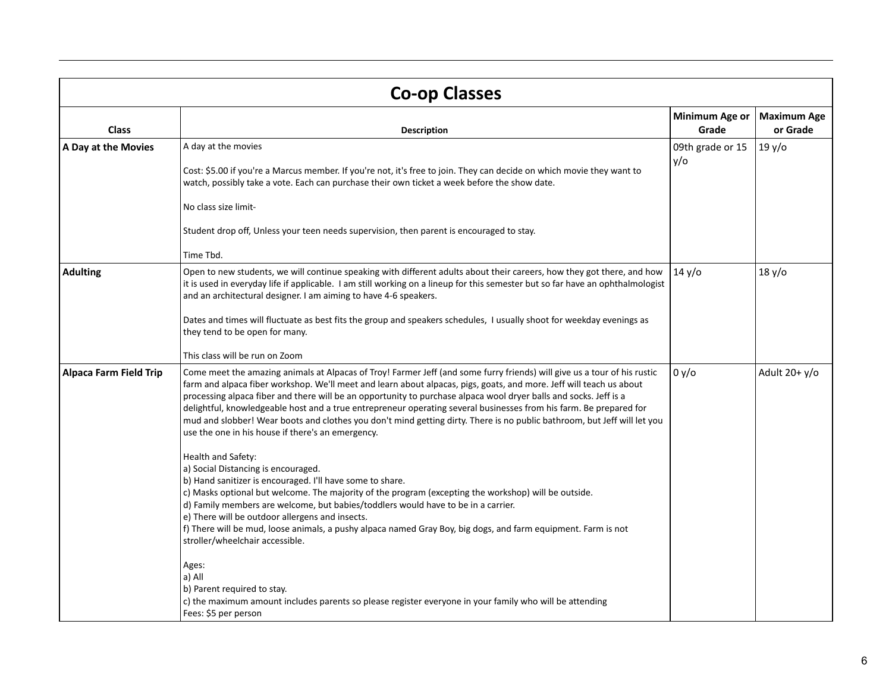| <b>Co-op Classes</b>          |                                                                                                                                                                                                                                                                                                                                                                                                                                                                                                                                                                                                                                                                                                                                                                                                                                                                                                                                                                                                                                                                                                                                                                                                                                                                                                                                                                                                |                         |                                |
|-------------------------------|------------------------------------------------------------------------------------------------------------------------------------------------------------------------------------------------------------------------------------------------------------------------------------------------------------------------------------------------------------------------------------------------------------------------------------------------------------------------------------------------------------------------------------------------------------------------------------------------------------------------------------------------------------------------------------------------------------------------------------------------------------------------------------------------------------------------------------------------------------------------------------------------------------------------------------------------------------------------------------------------------------------------------------------------------------------------------------------------------------------------------------------------------------------------------------------------------------------------------------------------------------------------------------------------------------------------------------------------------------------------------------------------|-------------------------|--------------------------------|
| <b>Class</b>                  | <b>Description</b>                                                                                                                                                                                                                                                                                                                                                                                                                                                                                                                                                                                                                                                                                                                                                                                                                                                                                                                                                                                                                                                                                                                                                                                                                                                                                                                                                                             | Minimum Age or<br>Grade | <b>Maximum Age</b><br>or Grade |
| A Day at the Movies           | A day at the movies<br>Cost: \$5.00 if you're a Marcus member. If you're not, it's free to join. They can decide on which movie they want to<br>watch, possibly take a vote. Each can purchase their own ticket a week before the show date.<br>No class size limit-<br>Student drop off, Unless your teen needs supervision, then parent is encouraged to stay.<br>Time Tbd.                                                                                                                                                                                                                                                                                                                                                                                                                                                                                                                                                                                                                                                                                                                                                                                                                                                                                                                                                                                                                  | 09th grade or 15<br>y/o | 19y/o                          |
| <b>Adulting</b>               | Open to new students, we will continue speaking with different adults about their careers, how they got there, and how<br>it is used in everyday life if applicable. I am still working on a lineup for this semester but so far have an ophthalmologist<br>and an architectural designer. I am aiming to have 4-6 speakers.<br>Dates and times will fluctuate as best fits the group and speakers schedules, I usually shoot for weekday evenings as<br>they tend to be open for many.<br>This class will be run on Zoom                                                                                                                                                                                                                                                                                                                                                                                                                                                                                                                                                                                                                                                                                                                                                                                                                                                                      | 14 y/o                  | 18 y/o                         |
| <b>Alpaca Farm Field Trip</b> | Come meet the amazing animals at Alpacas of Troy! Farmer Jeff (and some furry friends) will give us a tour of his rustic<br>farm and alpaca fiber workshop. We'll meet and learn about alpacas, pigs, goats, and more. Jeff will teach us about<br>processing alpaca fiber and there will be an opportunity to purchase alpaca wool dryer balls and socks. Jeff is a<br>delightful, knowledgeable host and a true entrepreneur operating several businesses from his farm. Be prepared for<br>mud and slobber! Wear boots and clothes you don't mind getting dirty. There is no public bathroom, but Jeff will let you<br>use the one in his house if there's an emergency.<br>Health and Safety:<br>a) Social Distancing is encouraged.<br>b) Hand sanitizer is encouraged. I'll have some to share.<br>c) Masks optional but welcome. The majority of the program (excepting the workshop) will be outside.<br>d) Family members are welcome, but babies/toddlers would have to be in a carrier.<br>e) There will be outdoor allergens and insects.<br>f) There will be mud, loose animals, a pushy alpaca named Gray Boy, big dogs, and farm equipment. Farm is not<br>stroller/wheelchair accessible.<br>Ages:<br>a) All<br>b) Parent required to stay.<br>c) the maximum amount includes parents so please register everyone in your family who will be attending<br>Fees: \$5 per person | 0 y/o                   | Adult $20 + y$ /o              |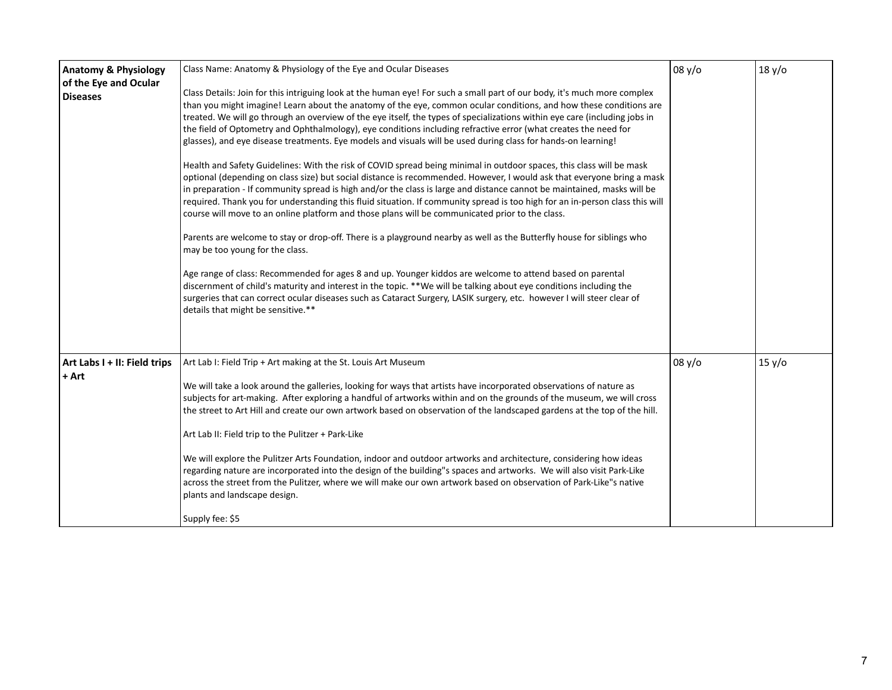| <b>Anatomy &amp; Physiology</b><br>of the Eye and Ocular<br><b>Diseases</b> | Class Name: Anatomy & Physiology of the Eye and Ocular Diseases<br>Class Details: Join for this intriguing look at the human eye! For such a small part of our body, it's much more complex<br>than you might imagine! Learn about the anatomy of the eye, common ocular conditions, and how these conditions are<br>treated. We will go through an overview of the eye itself, the types of specializations within eye care (including jobs in<br>the field of Optometry and Ophthalmology), eye conditions including refractive error (what creates the need for<br>glasses), and eye disease treatments. Eye models and visuals will be used during class for hands-on learning!<br>Health and Safety Guidelines: With the risk of COVID spread being minimal in outdoor spaces, this class will be mask<br>optional (depending on class size) but social distance is recommended. However, I would ask that everyone bring a mask<br>in preparation - If community spread is high and/or the class is large and distance cannot be maintained, masks will be<br>required. Thank you for understanding this fluid situation. If community spread is too high for an in-person class this will<br>course will move to an online platform and those plans will be communicated prior to the class.<br>Parents are welcome to stay or drop-off. There is a playground nearby as well as the Butterfly house for siblings who<br>may be too young for the class.<br>Age range of class: Recommended for ages 8 and up. Younger kiddos are welcome to attend based on parental<br>discernment of child's maturity and interest in the topic. **We will be talking about eye conditions including the<br>surgeries that can correct ocular diseases such as Cataract Surgery, LASIK surgery, etc. however I will steer clear of<br>details that might be sensitive.** | 08 y/o | 18 y/o |
|-----------------------------------------------------------------------------|--------------------------------------------------------------------------------------------------------------------------------------------------------------------------------------------------------------------------------------------------------------------------------------------------------------------------------------------------------------------------------------------------------------------------------------------------------------------------------------------------------------------------------------------------------------------------------------------------------------------------------------------------------------------------------------------------------------------------------------------------------------------------------------------------------------------------------------------------------------------------------------------------------------------------------------------------------------------------------------------------------------------------------------------------------------------------------------------------------------------------------------------------------------------------------------------------------------------------------------------------------------------------------------------------------------------------------------------------------------------------------------------------------------------------------------------------------------------------------------------------------------------------------------------------------------------------------------------------------------------------------------------------------------------------------------------------------------------------------------------------------------------------------------------------------------------------------------------------------------------|--------|--------|
| Art Labs I + II: Field trips<br>+ Art                                       | Art Lab I: Field Trip + Art making at the St. Louis Art Museum<br>We will take a look around the galleries, looking for ways that artists have incorporated observations of nature as<br>subjects for art-making. After exploring a handful of artworks within and on the grounds of the museum, we will cross<br>the street to Art Hill and create our own artwork based on observation of the landscaped gardens at the top of the hill.<br>Art Lab II: Field trip to the Pulitzer + Park-Like<br>We will explore the Pulitzer Arts Foundation, indoor and outdoor artworks and architecture, considering how ideas<br>regarding nature are incorporated into the design of the building"s spaces and artworks. We will also visit Park-Like<br>across the street from the Pulitzer, where we will make our own artwork based on observation of Park-Like"s native<br>plants and landscape design.<br>Supply fee: \$5                                                                                                                                                                                                                                                                                                                                                                                                                                                                                                                                                                                                                                                                                                                                                                                                                                                                                                                                            | 08 y/o | 15 y/o |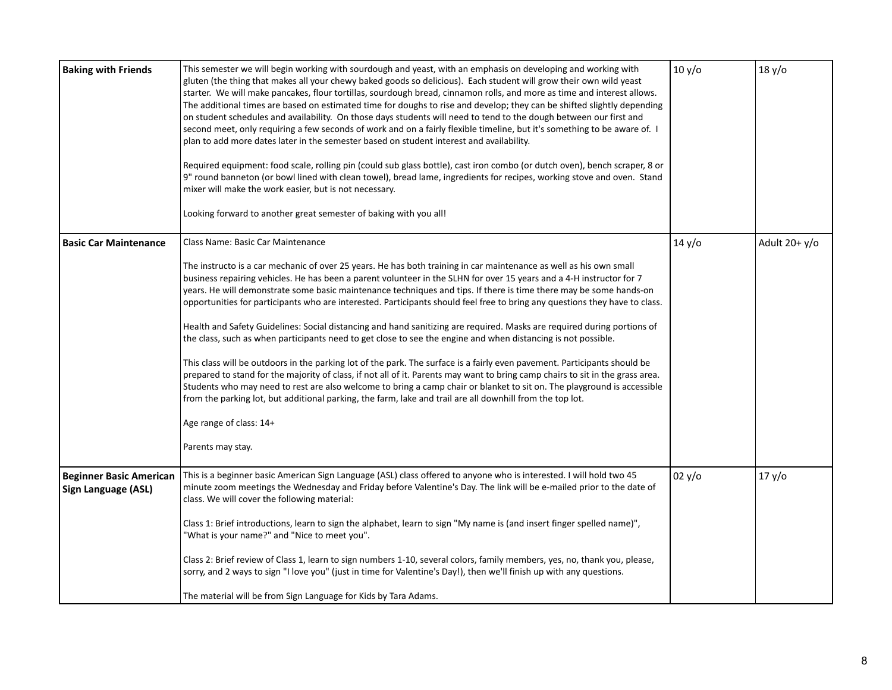| <b>Baking with Friends</b>                            | This semester we will begin working with sourdough and yeast, with an emphasis on developing and working with<br>gluten (the thing that makes all your chewy baked goods so delicious). Each student will grow their own wild yeast<br>starter. We will make pancakes, flour tortillas, sourdough bread, cinnamon rolls, and more as time and interest allows.<br>The additional times are based on estimated time for doughs to rise and develop; they can be shifted slightly depending<br>on student schedules and availability. On those days students will need to tend to the dough between our first and<br>second meet, only requiring a few seconds of work and on a fairly flexible timeline, but it's something to be aware of. I<br>plan to add more dates later in the semester based on student interest and availability.<br>Required equipment: food scale, rolling pin (could sub glass bottle), cast iron combo (or dutch oven), bench scraper, 8 or<br>9" round banneton (or bowl lined with clean towel), bread lame, ingredients for recipes, working stove and oven. Stand<br>mixer will make the work easier, but is not necessary.<br>Looking forward to another great semester of baking with you all!                                                                                                         | 10 y/o | 18 y/o            |
|-------------------------------------------------------|-----------------------------------------------------------------------------------------------------------------------------------------------------------------------------------------------------------------------------------------------------------------------------------------------------------------------------------------------------------------------------------------------------------------------------------------------------------------------------------------------------------------------------------------------------------------------------------------------------------------------------------------------------------------------------------------------------------------------------------------------------------------------------------------------------------------------------------------------------------------------------------------------------------------------------------------------------------------------------------------------------------------------------------------------------------------------------------------------------------------------------------------------------------------------------------------------------------------------------------------------------------------------------------------------------------------------------------------|--------|-------------------|
| <b>Basic Car Maintenance</b>                          | Class Name: Basic Car Maintenance<br>The instructo is a car mechanic of over 25 years. He has both training in car maintenance as well as his own small<br>business repairing vehicles. He has been a parent volunteer in the SLHN for over 15 years and a 4-H instructor for 7<br>years. He will demonstrate some basic maintenance techniques and tips. If there is time there may be some hands-on<br>opportunities for participants who are interested. Participants should feel free to bring any questions they have to class.<br>Health and Safety Guidelines: Social distancing and hand sanitizing are required. Masks are required during portions of<br>the class, such as when participants need to get close to see the engine and when distancing is not possible.<br>This class will be outdoors in the parking lot of the park. The surface is a fairly even pavement. Participants should be<br>prepared to stand for the majority of class, if not all of it. Parents may want to bring camp chairs to sit in the grass area.<br>Students who may need to rest are also welcome to bring a camp chair or blanket to sit on. The playground is accessible<br>from the parking lot, but additional parking, the farm, lake and trail are all downhill from the top lot.<br>Age range of class: 14+<br>Parents may stay. | 14 y/o | Adult $20 + y$ /o |
| <b>Beginner Basic American</b><br>Sign Language (ASL) | This is a beginner basic American Sign Language (ASL) class offered to anyone who is interested. I will hold two 45<br>minute zoom meetings the Wednesday and Friday before Valentine's Day. The link will be e-mailed prior to the date of<br>class. We will cover the following material:<br>Class 1: Brief introductions, learn to sign the alphabet, learn to sign "My name is (and insert finger spelled name)",<br>"What is your name?" and "Nice to meet you".<br>Class 2: Brief review of Class 1, learn to sign numbers 1-10, several colors, family members, yes, no, thank you, please,<br>sorry, and 2 ways to sign "I love you" (just in time for Valentine's Day!), then we'll finish up with any questions.<br>The material will be from Sign Language for Kids by Tara Adams.                                                                                                                                                                                                                                                                                                                                                                                                                                                                                                                                           | 02 y/o | 17 y/o            |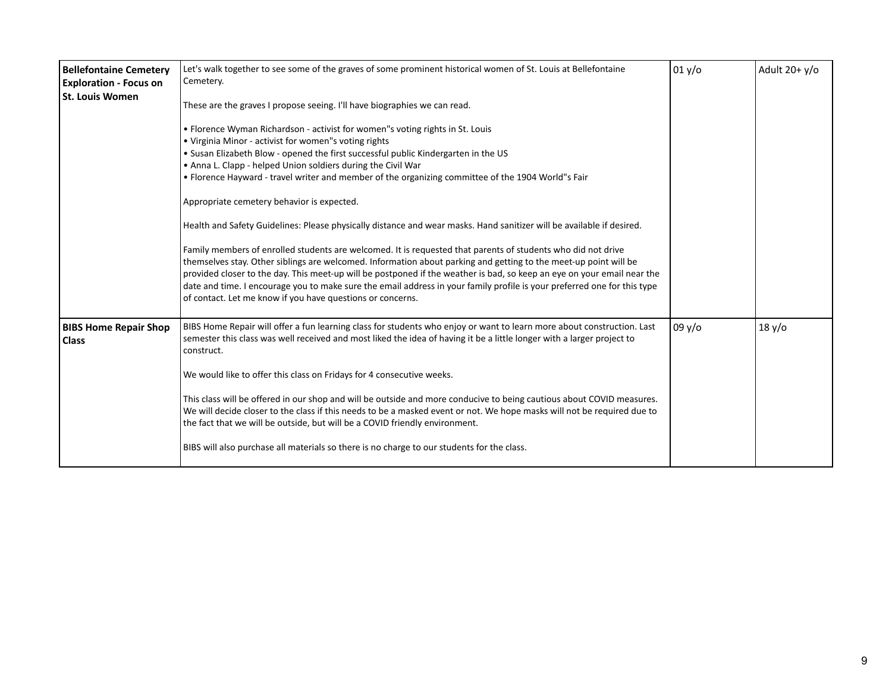| <b>Bellefontaine Cemetery</b><br><b>Exploration - Focus on</b><br><b>St. Louis Women</b> | Let's walk together to see some of the graves of some prominent historical women of St. Louis at Bellefontaine<br>Cemetery.<br>These are the graves I propose seeing. I'll have biographies we can read.<br>• Florence Wyman Richardson - activist for women"s voting rights in St. Louis<br>• Virginia Minor - activist for women"s voting rights<br>. Susan Elizabeth Blow - opened the first successful public Kindergarten in the US<br>. Anna L. Clapp - helped Union soldiers during the Civil War<br>• Florence Hayward - travel writer and member of the organizing committee of the 1904 World"s Fair<br>Appropriate cemetery behavior is expected.<br>Health and Safety Guidelines: Please physically distance and wear masks. Hand sanitizer will be available if desired.<br>Family members of enrolled students are welcomed. It is requested that parents of students who did not drive<br>themselves stay. Other siblings are welcomed. Information about parking and getting to the meet-up point will be<br>provided closer to the day. This meet-up will be postponed if the weather is bad, so keep an eye on your email near the<br>date and time. I encourage you to make sure the email address in your family profile is your preferred one for this type<br>of contact. Let me know if you have questions or concerns. | 01 y/o | Adult $20+ y/o$ |
|------------------------------------------------------------------------------------------|------------------------------------------------------------------------------------------------------------------------------------------------------------------------------------------------------------------------------------------------------------------------------------------------------------------------------------------------------------------------------------------------------------------------------------------------------------------------------------------------------------------------------------------------------------------------------------------------------------------------------------------------------------------------------------------------------------------------------------------------------------------------------------------------------------------------------------------------------------------------------------------------------------------------------------------------------------------------------------------------------------------------------------------------------------------------------------------------------------------------------------------------------------------------------------------------------------------------------------------------------------------------------------------------------------------------------------------------|--------|-----------------|
| <b>BIBS Home Repair Shop</b><br><b>Class</b>                                             | BIBS Home Repair will offer a fun learning class for students who enjoy or want to learn more about construction. Last<br>semester this class was well received and most liked the idea of having it be a little longer with a larger project to<br>construct.<br>We would like to offer this class on Fridays for 4 consecutive weeks.<br>This class will be offered in our shop and will be outside and more conducive to being cautious about COVID measures.<br>We will decide closer to the class if this needs to be a masked event or not. We hope masks will not be required due to<br>the fact that we will be outside, but will be a COVID friendly environment.<br>BIBS will also purchase all materials so there is no charge to our students for the class.                                                                                                                                                                                                                                                                                                                                                                                                                                                                                                                                                                       | 09y/o  | 18 y/o          |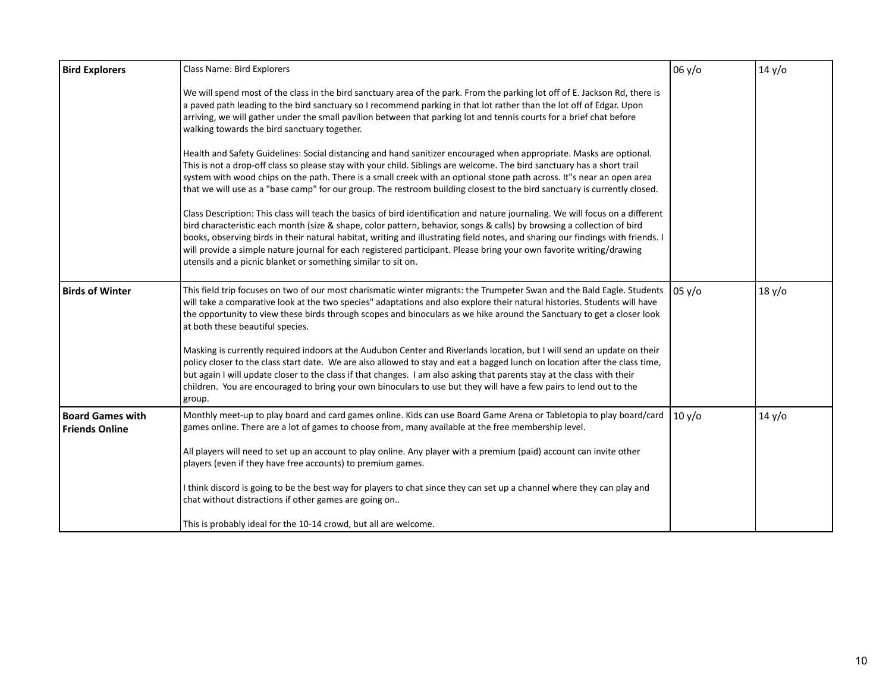| <b>Bird Explorers</b>                            | Class Name: Bird Explorers                                                                                                                                                                                                                                                                                                                                                                                                                                                                                                                                                           | 06 y/o | 14 y/o |
|--------------------------------------------------|--------------------------------------------------------------------------------------------------------------------------------------------------------------------------------------------------------------------------------------------------------------------------------------------------------------------------------------------------------------------------------------------------------------------------------------------------------------------------------------------------------------------------------------------------------------------------------------|--------|--------|
|                                                  | We will spend most of the class in the bird sanctuary area of the park. From the parking lot off of E. Jackson Rd, there is<br>a paved path leading to the bird sanctuary so I recommend parking in that lot rather than the lot off of Edgar. Upon<br>arriving, we will gather under the small pavilion between that parking lot and tennis courts for a brief chat before<br>walking towards the bird sanctuary together.                                                                                                                                                          |        |        |
|                                                  | Health and Safety Guidelines: Social distancing and hand sanitizer encouraged when appropriate. Masks are optional.<br>This is not a drop-off class so please stay with your child. Siblings are welcome. The bird sanctuary has a short trail<br>system with wood chips on the path. There is a small creek with an optional stone path across. It"s near an open area<br>that we will use as a "base camp" for our group. The restroom building closest to the bird sanctuary is currently closed.                                                                                 |        |        |
|                                                  | Class Description: This class will teach the basics of bird identification and nature journaling. We will focus on a different<br>bird characteristic each month (size & shape, color pattern, behavior, songs & calls) by browsing a collection of bird<br>books, observing birds in their natural habitat, writing and illustrating field notes, and sharing our findings with friends. I<br>will provide a simple nature journal for each registered participant. Please bring your own favorite writing/drawing<br>utensils and a picnic blanket or something similar to sit on. |        |        |
| <b>Birds of Winter</b>                           | This field trip focuses on two of our most charismatic winter migrants: the Trumpeter Swan and the Bald Eagle. Students<br>will take a comparative look at the two species" adaptations and also explore their natural histories. Students will have<br>the opportunity to view these birds through scopes and binoculars as we hike around the Sanctuary to get a closer look<br>at both these beautiful species.                                                                                                                                                                   | 05 y/o | 18 y/o |
|                                                  | Masking is currently required indoors at the Audubon Center and Riverlands location, but I will send an update on their<br>policy closer to the class start date. We are also allowed to stay and eat a bagged lunch on location after the class time,<br>but again I will update closer to the class if that changes. I am also asking that parents stay at the class with their<br>children. You are encouraged to bring your own binoculars to use but they will have a few pairs to lend out to the<br>group.                                                                    |        |        |
| <b>Board Games with</b><br><b>Friends Online</b> | Monthly meet-up to play board and card games online. Kids can use Board Game Arena or Tabletopia to play board/card<br>games online. There are a lot of games to choose from, many available at the free membership level.                                                                                                                                                                                                                                                                                                                                                           | 10 y/o | 14 y/o |
|                                                  | All players will need to set up an account to play online. Any player with a premium (paid) account can invite other<br>players (even if they have free accounts) to premium games.                                                                                                                                                                                                                                                                                                                                                                                                  |        |        |
|                                                  | I think discord is going to be the best way for players to chat since they can set up a channel where they can play and<br>chat without distractions if other games are going on                                                                                                                                                                                                                                                                                                                                                                                                     |        |        |
|                                                  | This is probably ideal for the 10-14 crowd, but all are welcome.                                                                                                                                                                                                                                                                                                                                                                                                                                                                                                                     |        |        |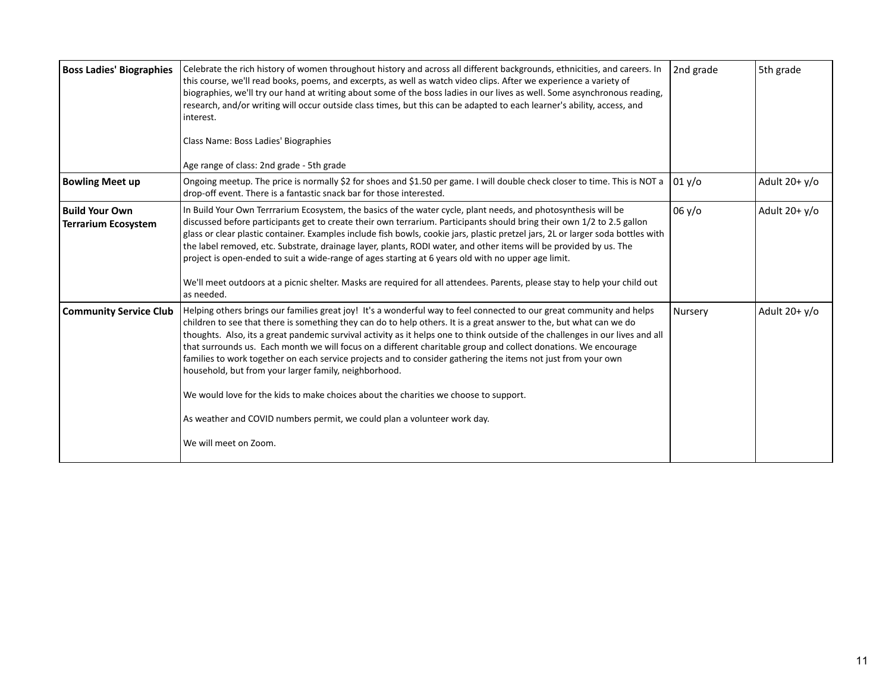| <b>Boss Ladies' Biographies</b>                     | Celebrate the rich history of women throughout history and across all different backgrounds, ethnicities, and careers. In<br>this course, we'll read books, poems, and excerpts, as well as watch video clips. After we experience a variety of<br>biographies, we'll try our hand at writing about some of the boss ladies in our lives as well. Some asynchronous reading,<br>research, and/or writing will occur outside class times, but this can be adapted to each learner's ability, access, and<br>interest.<br>Class Name: Boss Ladies' Biographies<br>Age range of class: 2nd grade - 5th grade                                                                                                                                                                                                                                                                | 2nd grade | 5th grade         |
|-----------------------------------------------------|--------------------------------------------------------------------------------------------------------------------------------------------------------------------------------------------------------------------------------------------------------------------------------------------------------------------------------------------------------------------------------------------------------------------------------------------------------------------------------------------------------------------------------------------------------------------------------------------------------------------------------------------------------------------------------------------------------------------------------------------------------------------------------------------------------------------------------------------------------------------------|-----------|-------------------|
| <b>Bowling Meet up</b>                              | Ongoing meetup. The price is normally \$2 for shoes and \$1.50 per game. I will double check closer to time. This is NOT a<br>drop-off event. There is a fantastic snack bar for those interested.                                                                                                                                                                                                                                                                                                                                                                                                                                                                                                                                                                                                                                                                       | 01 y/o    | Adult $20 + y$ /o |
| <b>Build Your Own</b><br><b>Terrarium Ecosystem</b> | In Build Your Own Terrrarium Ecosystem, the basics of the water cycle, plant needs, and photosynthesis will be<br>discussed before participants get to create their own terrarium. Participants should bring their own 1/2 to 2.5 gallon<br>glass or clear plastic container. Examples include fish bowls, cookie jars, plastic pretzel jars, 2L or larger soda bottles with<br>the label removed, etc. Substrate, drainage layer, plants, RODI water, and other items will be provided by us. The<br>project is open-ended to suit a wide-range of ages starting at 6 years old with no upper age limit.<br>We'll meet outdoors at a picnic shelter. Masks are required for all attendees. Parents, please stay to help your child out<br>as needed.                                                                                                                    | 06y/o     | Adult $20+ y/o$   |
| <b>Community Service Club</b>                       | Helping others brings our families great joy! It's a wonderful way to feel connected to our great community and helps<br>children to see that there is something they can do to help others. It is a great answer to the, but what can we do<br>thoughts. Also, its a great pandemic survival activity as it helps one to think outside of the challenges in our lives and all<br>that surrounds us. Each month we will focus on a different charitable group and collect donations. We encourage<br>families to work together on each service projects and to consider gathering the items not just from your own<br>household, but from your larger family, neighborhood.<br>We would love for the kids to make choices about the charities we choose to support.<br>As weather and COVID numbers permit, we could plan a volunteer work day.<br>We will meet on Zoom. | Nursery   | Adult $20+ y/o$   |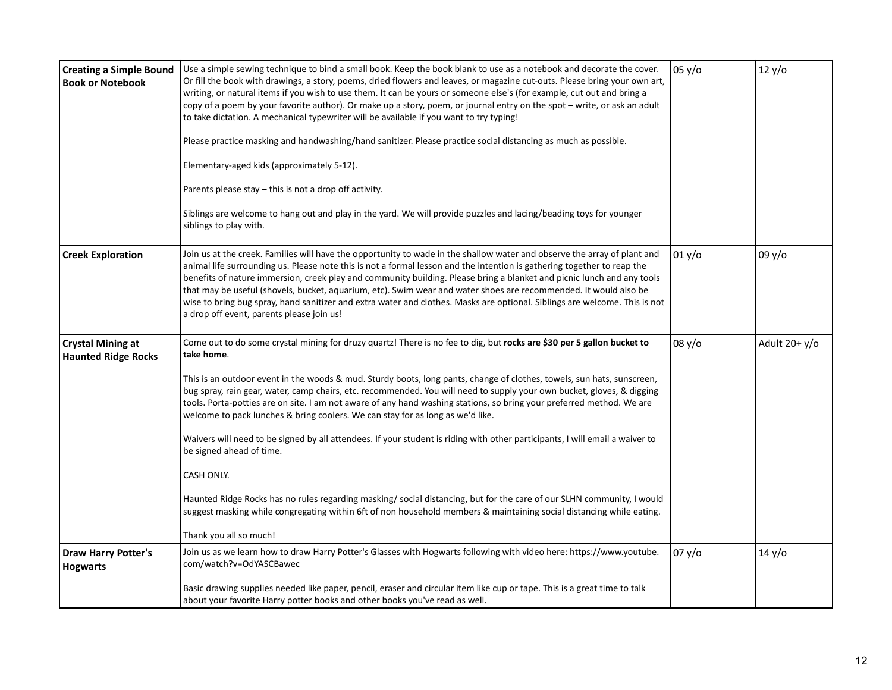| <b>Creating a Simple Bound</b><br><b>Book or Notebook</b> | Use a simple sewing technique to bind a small book. Keep the book blank to use as a notebook and decorate the cover.<br>Or fill the book with drawings, a story, poems, dried flowers and leaves, or magazine cut-outs. Please bring your own art,<br>writing, or natural items if you wish to use them. It can be yours or someone else's (for example, cut out and bring a<br>copy of a poem by your favorite author). Or make up a story, poem, or journal entry on the spot - write, or ask an adult<br>to take dictation. A mechanical typewriter will be available if you want to try typing!<br>Please practice masking and handwashing/hand sanitizer. Please practice social distancing as much as possible.<br>Elementary-aged kids (approximately 5-12).<br>Parents please stay - this is not a drop off activity.<br>Siblings are welcome to hang out and play in the yard. We will provide puzzles and lacing/beading toys for younger<br>siblings to play with.                                                                             | 05 y/o | 12 y/o            |
|-----------------------------------------------------------|-----------------------------------------------------------------------------------------------------------------------------------------------------------------------------------------------------------------------------------------------------------------------------------------------------------------------------------------------------------------------------------------------------------------------------------------------------------------------------------------------------------------------------------------------------------------------------------------------------------------------------------------------------------------------------------------------------------------------------------------------------------------------------------------------------------------------------------------------------------------------------------------------------------------------------------------------------------------------------------------------------------------------------------------------------------|--------|-------------------|
| <b>Creek Exploration</b>                                  | Join us at the creek. Families will have the opportunity to wade in the shallow water and observe the array of plant and<br>animal life surrounding us. Please note this is not a formal lesson and the intention is gathering together to reap the<br>benefits of nature immersion, creek play and community building. Please bring a blanket and picnic lunch and any tools<br>that may be useful (shovels, bucket, aquarium, etc). Swim wear and water shoes are recommended. It would also be<br>wise to bring bug spray, hand sanitizer and extra water and clothes. Masks are optional. Siblings are welcome. This is not<br>a drop off event, parents please join us!                                                                                                                                                                                                                                                                                                                                                                              | 01 y/o | 09 y/o            |
| <b>Crystal Mining at</b><br><b>Haunted Ridge Rocks</b>    | Come out to do some crystal mining for druzy quartz! There is no fee to dig, but rocks are \$30 per 5 gallon bucket to<br>take home.<br>This is an outdoor event in the woods & mud. Sturdy boots, long pants, change of clothes, towels, sun hats, sunscreen,<br>bug spray, rain gear, water, camp chairs, etc. recommended. You will need to supply your own bucket, gloves, & digging<br>tools. Porta-potties are on site. I am not aware of any hand washing stations, so bring your preferred method. We are<br>welcome to pack lunches & bring coolers. We can stay for as long as we'd like.<br>Waivers will need to be signed by all attendees. If your student is riding with other participants, I will email a waiver to<br>be signed ahead of time.<br>CASH ONLY.<br>Haunted Ridge Rocks has no rules regarding masking/ social distancing, but for the care of our SLHN community, I would<br>suggest masking while congregating within 6ft of non household members & maintaining social distancing while eating.<br>Thank you all so much! | 08 y/o | Adult $20 + y$ /o |
| <b>Draw Harry Potter's</b><br><b>Hogwarts</b>             | Join us as we learn how to draw Harry Potter's Glasses with Hogwarts following with video here: https://www.youtube.<br>com/watch?v=OdYASCBawec<br>Basic drawing supplies needed like paper, pencil, eraser and circular item like cup or tape. This is a great time to talk<br>about your favorite Harry potter books and other books you've read as well.                                                                                                                                                                                                                                                                                                                                                                                                                                                                                                                                                                                                                                                                                               | 07 y/o | 14 y/o            |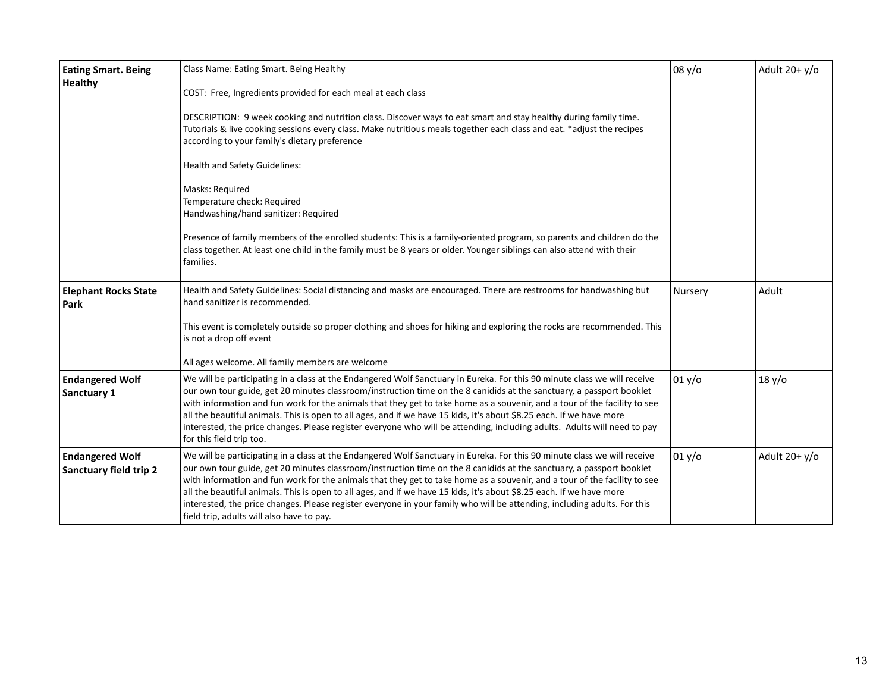| <b>Eating Smart. Being</b>                              | Class Name: Eating Smart. Being Healthy                                                                                                                                                                                                                                                                                                                                                                                                                                                                                                                                                                                                                                        | 08 y/o  | Adult $20+ y/o$ |
|---------------------------------------------------------|--------------------------------------------------------------------------------------------------------------------------------------------------------------------------------------------------------------------------------------------------------------------------------------------------------------------------------------------------------------------------------------------------------------------------------------------------------------------------------------------------------------------------------------------------------------------------------------------------------------------------------------------------------------------------------|---------|-----------------|
| <b>Healthy</b>                                          | COST: Free, Ingredients provided for each meal at each class                                                                                                                                                                                                                                                                                                                                                                                                                                                                                                                                                                                                                   |         |                 |
|                                                         | DESCRIPTION: 9 week cooking and nutrition class. Discover ways to eat smart and stay healthy during family time.<br>Tutorials & live cooking sessions every class. Make nutritious meals together each class and eat. *adjust the recipes<br>according to your family's dietary preference                                                                                                                                                                                                                                                                                                                                                                                     |         |                 |
|                                                         | <b>Health and Safety Guidelines:</b>                                                                                                                                                                                                                                                                                                                                                                                                                                                                                                                                                                                                                                           |         |                 |
|                                                         | Masks: Required<br>Temperature check: Required<br>Handwashing/hand sanitizer: Required<br>Presence of family members of the enrolled students: This is a family-oriented program, so parents and children do the<br>class together. At least one child in the family must be 8 years or older. Younger siblings can also attend with their<br>families.                                                                                                                                                                                                                                                                                                                        |         |                 |
| <b>Elephant Rocks State</b><br>Park                     | Health and Safety Guidelines: Social distancing and masks are encouraged. There are restrooms for handwashing but<br>hand sanitizer is recommended.                                                                                                                                                                                                                                                                                                                                                                                                                                                                                                                            | Nursery | Adult           |
|                                                         | This event is completely outside so proper clothing and shoes for hiking and exploring the rocks are recommended. This<br>is not a drop off event                                                                                                                                                                                                                                                                                                                                                                                                                                                                                                                              |         |                 |
|                                                         | All ages welcome. All family members are welcome                                                                                                                                                                                                                                                                                                                                                                                                                                                                                                                                                                                                                               |         |                 |
| <b>Endangered Wolf</b><br>Sanctuary 1                   | We will be participating in a class at the Endangered Wolf Sanctuary in Eureka. For this 90 minute class we will receive<br>our own tour guide, get 20 minutes classroom/instruction time on the 8 canidids at the sanctuary, a passport booklet<br>with information and fun work for the animals that they get to take home as a souvenir, and a tour of the facility to see<br>all the beautiful animals. This is open to all ages, and if we have 15 kids, it's about \$8.25 each. If we have more<br>interested, the price changes. Please register everyone who will be attending, including adults. Adults will need to pay<br>for this field trip too.                  | 01 y/o  | 18 y/o          |
| <b>Endangered Wolf</b><br><b>Sanctuary field trip 2</b> | We will be participating in a class at the Endangered Wolf Sanctuary in Eureka. For this 90 minute class we will receive<br>our own tour guide, get 20 minutes classroom/instruction time on the 8 canidids at the sanctuary, a passport booklet<br>with information and fun work for the animals that they get to take home as a souvenir, and a tour of the facility to see<br>all the beautiful animals. This is open to all ages, and if we have 15 kids, it's about \$8.25 each. If we have more<br>interested, the price changes. Please register everyone in your family who will be attending, including adults. For this<br>field trip, adults will also have to pay. | 01 y/o  | Adult $20+ y/o$ |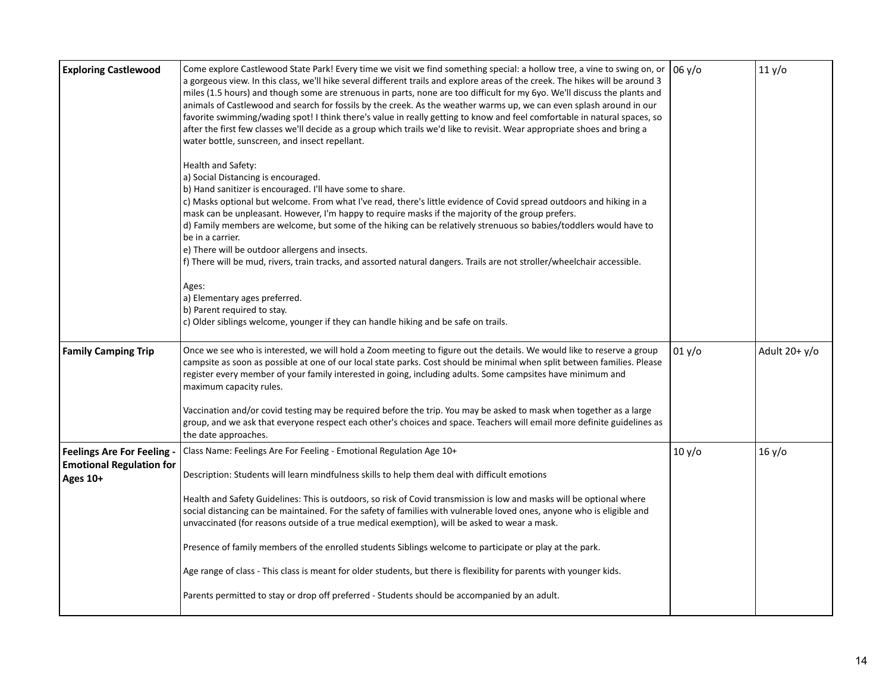| <b>Exploring Castlewood</b>                                                    | Come explore Castlewood State Park! Every time we visit we find something special: a hollow tree, a vine to swing on, or<br>a gorgeous view. In this class, we'll hike several different trails and explore areas of the creek. The hikes will be around 3<br>miles (1.5 hours) and though some are strenuous in parts, none are too difficult for my 6yo. We'll discuss the plants and<br>animals of Castlewood and search for fossils by the creek. As the weather warms up, we can even splash around in our<br>favorite swimming/wading spot! I think there's value in really getting to know and feel comfortable in natural spaces, so<br>after the first few classes we'll decide as a group which trails we'd like to revisit. Wear appropriate shoes and bring a<br>water bottle, sunscreen, and insect repellant. | 06 y/o | 11 y/o          |
|--------------------------------------------------------------------------------|-----------------------------------------------------------------------------------------------------------------------------------------------------------------------------------------------------------------------------------------------------------------------------------------------------------------------------------------------------------------------------------------------------------------------------------------------------------------------------------------------------------------------------------------------------------------------------------------------------------------------------------------------------------------------------------------------------------------------------------------------------------------------------------------------------------------------------|--------|-----------------|
|                                                                                | Health and Safety:<br>a) Social Distancing is encouraged.<br>b) Hand sanitizer is encouraged. I'll have some to share.<br>c) Masks optional but welcome. From what I've read, there's little evidence of Covid spread outdoors and hiking in a<br>mask can be unpleasant. However, I'm happy to require masks if the majority of the group prefers.<br>d) Family members are welcome, but some of the hiking can be relatively strenuous so babies/toddlers would have to<br>be in a carrier.<br>e) There will be outdoor allergens and insects.<br>f) There will be mud, rivers, train tracks, and assorted natural dangers. Trails are not stroller/wheelchair accessible.                                                                                                                                                |        |                 |
|                                                                                | Ages:<br>a) Elementary ages preferred.<br>b) Parent required to stay.<br>c) Older siblings welcome, younger if they can handle hiking and be safe on trails.                                                                                                                                                                                                                                                                                                                                                                                                                                                                                                                                                                                                                                                                |        |                 |
| <b>Family Camping Trip</b>                                                     | Once we see who is interested, we will hold a Zoom meeting to figure out the details. We would like to reserve a group<br>campsite as soon as possible at one of our local state parks. Cost should be minimal when split between families. Please<br>register every member of your family interested in going, including adults. Some campsites have minimum and<br>maximum capacity rules.                                                                                                                                                                                                                                                                                                                                                                                                                                | 01 y/o | Adult $20+ y/o$ |
|                                                                                | Vaccination and/or covid testing may be required before the trip. You may be asked to mask when together as a large<br>group, and we ask that everyone respect each other's choices and space. Teachers will email more definite guidelines as<br>the date approaches.                                                                                                                                                                                                                                                                                                                                                                                                                                                                                                                                                      |        |                 |
| <b>Feelings Are For Feeling</b><br><b>Emotional Regulation for</b><br>Ages 10+ | Class Name: Feelings Are For Feeling - Emotional Regulation Age 10+<br>Description: Students will learn mindfulness skills to help them deal with difficult emotions                                                                                                                                                                                                                                                                                                                                                                                                                                                                                                                                                                                                                                                        | 10 y/o | 16 y/o          |
|                                                                                | Health and Safety Guidelines: This is outdoors, so risk of Covid transmission is low and masks will be optional where<br>social distancing can be maintained. For the safety of families with vulnerable loved ones, anyone who is eligible and<br>unvaccinated (for reasons outside of a true medical exemption), will be asked to wear a mask.                                                                                                                                                                                                                                                                                                                                                                                                                                                                            |        |                 |
|                                                                                | Presence of family members of the enrolled students Siblings welcome to participate or play at the park.                                                                                                                                                                                                                                                                                                                                                                                                                                                                                                                                                                                                                                                                                                                    |        |                 |
|                                                                                | Age range of class - This class is meant for older students, but there is flexibility for parents with younger kids.                                                                                                                                                                                                                                                                                                                                                                                                                                                                                                                                                                                                                                                                                                        |        |                 |
|                                                                                | Parents permitted to stay or drop off preferred - Students should be accompanied by an adult.                                                                                                                                                                                                                                                                                                                                                                                                                                                                                                                                                                                                                                                                                                                               |        |                 |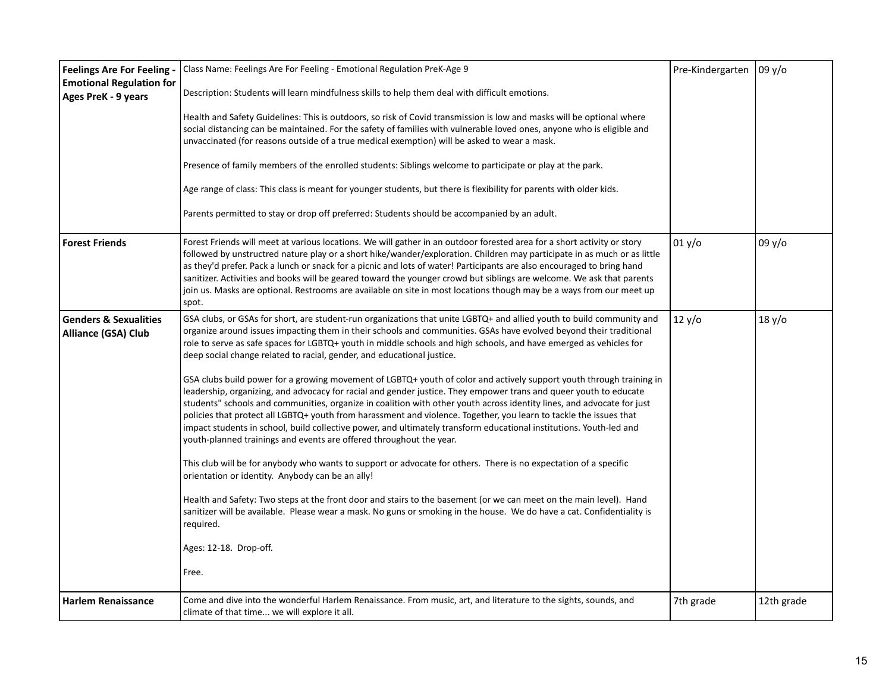| <b>Feelings Are For Feeling -</b><br><b>Emotional Regulation for</b><br>Ages PreK - 9 years | Class Name: Feelings Are For Feeling - Emotional Regulation PreK-Age 9<br>Description: Students will learn mindfulness skills to help them deal with difficult emotions.<br>Health and Safety Guidelines: This is outdoors, so risk of Covid transmission is low and masks will be optional where<br>social distancing can be maintained. For the safety of families with vulnerable loved ones, anyone who is eligible and<br>unvaccinated (for reasons outside of a true medical exemption) will be asked to wear a mask.<br>Presence of family members of the enrolled students: Siblings welcome to participate or play at the park.<br>Age range of class: This class is meant for younger students, but there is flexibility for parents with older kids.<br>Parents permitted to stay or drop off preferred: Students should be accompanied by an adult.                                                                                                                                                                                                                                                                                                                                                                                                                                                                                                                                                                                                                                                                                                                                                | Pre-Kindergarten | 09y/o      |
|---------------------------------------------------------------------------------------------|----------------------------------------------------------------------------------------------------------------------------------------------------------------------------------------------------------------------------------------------------------------------------------------------------------------------------------------------------------------------------------------------------------------------------------------------------------------------------------------------------------------------------------------------------------------------------------------------------------------------------------------------------------------------------------------------------------------------------------------------------------------------------------------------------------------------------------------------------------------------------------------------------------------------------------------------------------------------------------------------------------------------------------------------------------------------------------------------------------------------------------------------------------------------------------------------------------------------------------------------------------------------------------------------------------------------------------------------------------------------------------------------------------------------------------------------------------------------------------------------------------------------------------------------------------------------------------------------------------------|------------------|------------|
| <b>Forest Friends</b>                                                                       | Forest Friends will meet at various locations. We will gather in an outdoor forested area for a short activity or story<br>followed by unstructred nature play or a short hike/wander/exploration. Children may participate in as much or as little<br>as they'd prefer. Pack a lunch or snack for a picnic and lots of water! Participants are also encouraged to bring hand<br>sanitizer. Activities and books will be geared toward the younger crowd but siblings are welcome. We ask that parents<br>join us. Masks are optional. Restrooms are available on site in most locations though may be a ways from our meet up<br>spot.                                                                                                                                                                                                                                                                                                                                                                                                                                                                                                                                                                                                                                                                                                                                                                                                                                                                                                                                                                        | 01 y/o           | 09 y/o     |
| <b>Genders &amp; Sexualities</b><br>Alliance (GSA) Club                                     | GSA clubs, or GSAs for short, are student-run organizations that unite LGBTQ+ and allied youth to build community and<br>organize around issues impacting them in their schools and communities. GSAs have evolved beyond their traditional<br>role to serve as safe spaces for LGBTQ+ youth in middle schools and high schools, and have emerged as vehicles for<br>deep social change related to racial, gender, and educational justice.<br>GSA clubs build power for a growing movement of LGBTQ+ youth of color and actively support youth through training in<br>leadership, organizing, and advocacy for racial and gender justice. They empower trans and queer youth to educate<br>students" schools and communities, organize in coalition with other youth across identity lines, and advocate for just<br>policies that protect all LGBTQ+ youth from harassment and violence. Together, you learn to tackle the issues that<br>impact students in school, build collective power, and ultimately transform educational institutions. Youth-led and<br>youth-planned trainings and events are offered throughout the year.<br>This club will be for anybody who wants to support or advocate for others. There is no expectation of a specific<br>orientation or identity. Anybody can be an ally!<br>Health and Safety: Two steps at the front door and stairs to the basement (or we can meet on the main level). Hand<br>sanitizer will be available. Please wear a mask. No guns or smoking in the house. We do have a cat. Confidentiality is<br>required.<br>Ages: 12-18. Drop-off.<br>Free. | 12 y/o           | 18 y/o     |
| <b>Harlem Renaissance</b>                                                                   | Come and dive into the wonderful Harlem Renaissance. From music, art, and literature to the sights, sounds, and<br>climate of that time we will explore it all.                                                                                                                                                                                                                                                                                                                                                                                                                                                                                                                                                                                                                                                                                                                                                                                                                                                                                                                                                                                                                                                                                                                                                                                                                                                                                                                                                                                                                                                | 7th grade        | 12th grade |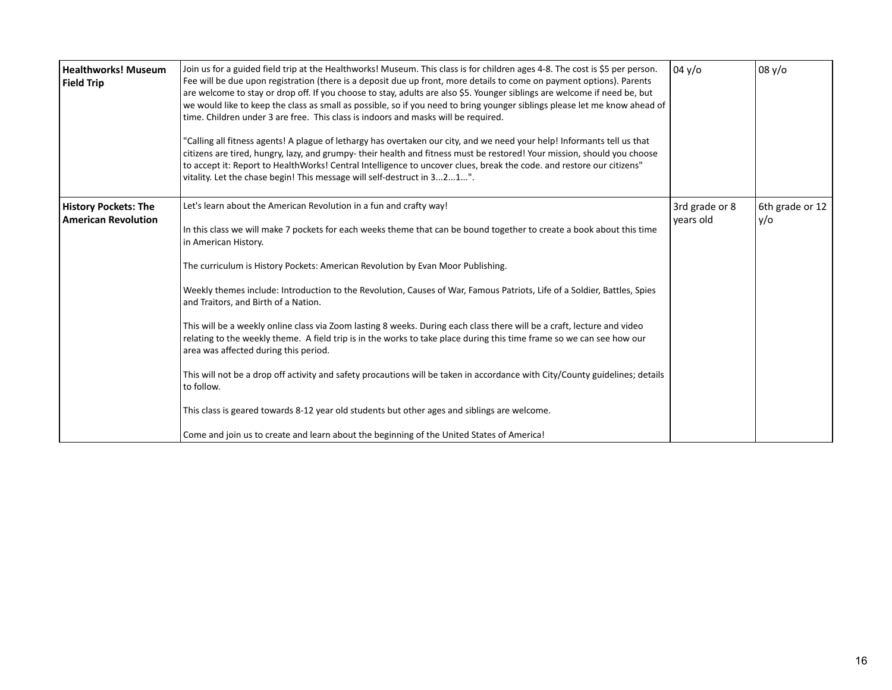| <b>Healthworks! Museum</b><br><b>Field Trip</b>           | Join us for a guided field trip at the Healthworks! Museum. This class is for children ages 4-8. The cost is \$5 per person.<br>Fee will be due upon registration (there is a deposit due up front, more details to come on payment options). Parents<br>are welcome to stay or drop off. If you choose to stay, adults are also \$5. Younger siblings are welcome if need be, but<br>we would like to keep the class as small as possible, so if you need to bring younger siblings please let me know ahead of<br>time. Children under 3 are free. This class is indoors and masks will be required.<br>"Calling all fitness agents! A plague of lethargy has overtaken our city, and we need your help! Informants tell us that<br>citizens are tired, hungry, lazy, and grumpy- their health and fitness must be restored! Your mission, should you choose<br>to accept it: Report to HealthWorks! Central Intelligence to uncover clues, break the code. and restore our citizens"<br>vitality. Let the chase begin! This message will self-destruct in 321".                                                 | 04 y/o                      | 08 y/o                 |
|-----------------------------------------------------------|--------------------------------------------------------------------------------------------------------------------------------------------------------------------------------------------------------------------------------------------------------------------------------------------------------------------------------------------------------------------------------------------------------------------------------------------------------------------------------------------------------------------------------------------------------------------------------------------------------------------------------------------------------------------------------------------------------------------------------------------------------------------------------------------------------------------------------------------------------------------------------------------------------------------------------------------------------------------------------------------------------------------------------------------------------------------------------------------------------------------|-----------------------------|------------------------|
| <b>History Pockets: The</b><br><b>American Revolution</b> | Let's learn about the American Revolution in a fun and crafty way!<br>In this class we will make 7 pockets for each weeks theme that can be bound together to create a book about this time<br>in American History.<br>The curriculum is History Pockets: American Revolution by Evan Moor Publishing.<br>Weekly themes include: Introduction to the Revolution, Causes of War, Famous Patriots, Life of a Soldier, Battles, Spies<br>and Traitors, and Birth of a Nation.<br>This will be a weekly online class via Zoom lasting 8 weeks. During each class there will be a craft, lecture and video<br>relating to the weekly theme. A field trip is in the works to take place during this time frame so we can see how our<br>area was affected during this period.<br>This will not be a drop off activity and safety procautions will be taken in accordance with City/County guidelines; details<br>to follow.<br>This class is geared towards 8-12 year old students but other ages and siblings are welcome.<br>Come and join us to create and learn about the beginning of the United States of America! | 3rd grade or 8<br>vears old | 6th grade or 12<br>y/o |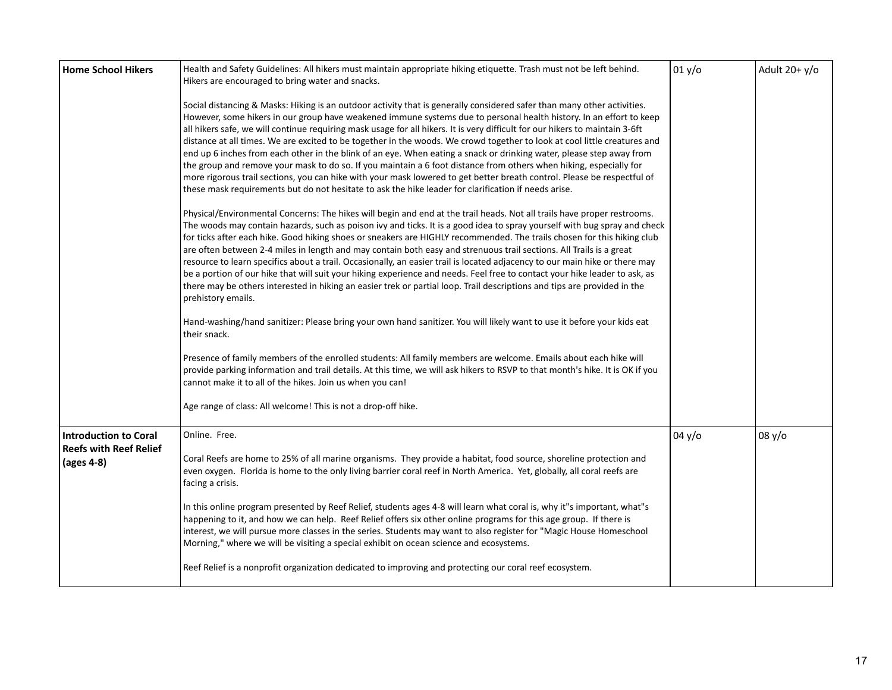| <b>Home School Hikers</b>                   | Health and Safety Guidelines: All hikers must maintain appropriate hiking etiquette. Trash must not be left behind.<br>Hikers are encouraged to bring water and snacks.                                                                                                                                                                                                                                                                                                                                                                                                                                                                                                                                                                                                                                                                                                                                                                                                                      | 01 y/o | Adult $20+ y/o$ |
|---------------------------------------------|----------------------------------------------------------------------------------------------------------------------------------------------------------------------------------------------------------------------------------------------------------------------------------------------------------------------------------------------------------------------------------------------------------------------------------------------------------------------------------------------------------------------------------------------------------------------------------------------------------------------------------------------------------------------------------------------------------------------------------------------------------------------------------------------------------------------------------------------------------------------------------------------------------------------------------------------------------------------------------------------|--------|-----------------|
|                                             | Social distancing & Masks: Hiking is an outdoor activity that is generally considered safer than many other activities.<br>However, some hikers in our group have weakened immune systems due to personal health history. In an effort to keep<br>all hikers safe, we will continue requiring mask usage for all hikers. It is very difficult for our hikers to maintain 3-6ft<br>distance at all times. We are excited to be together in the woods. We crowd together to look at cool little creatures and<br>end up 6 inches from each other in the blink of an eye. When eating a snack or drinking water, please step away from<br>the group and remove your mask to do so. If you maintain a 6 foot distance from others when hiking, especially for<br>more rigorous trail sections, you can hike with your mask lowered to get better breath control. Please be respectful of<br>these mask requirements but do not hesitate to ask the hike leader for clarification if needs arise. |        |                 |
|                                             | Physical/Environmental Concerns: The hikes will begin and end at the trail heads. Not all trails have proper restrooms.<br>The woods may contain hazards, such as poison ivy and ticks. It is a good idea to spray yourself with bug spray and check<br>for ticks after each hike. Good hiking shoes or sneakers are HIGHLY recommended. The trails chosen for this hiking club<br>are often between 2-4 miles in length and may contain both easy and strenuous trail sections. All Trails is a great<br>resource to learn specifics about a trail. Occasionally, an easier trail is located adjacency to our main hike or there may<br>be a portion of our hike that will suit your hiking experience and needs. Feel free to contact your hike leader to ask, as<br>there may be others interested in hiking an easier trek or partial loop. Trail descriptions and tips are provided in the<br>prehistory emails.                                                                        |        |                 |
|                                             | Hand-washing/hand sanitizer: Please bring your own hand sanitizer. You will likely want to use it before your kids eat<br>their snack.                                                                                                                                                                                                                                                                                                                                                                                                                                                                                                                                                                                                                                                                                                                                                                                                                                                       |        |                 |
|                                             | Presence of family members of the enrolled students: All family members are welcome. Emails about each hike will<br>provide parking information and trail details. At this time, we will ask hikers to RSVP to that month's hike. It is OK if you<br>cannot make it to all of the hikes. Join us when you can!                                                                                                                                                                                                                                                                                                                                                                                                                                                                                                                                                                                                                                                                               |        |                 |
|                                             | Age range of class: All welcome! This is not a drop-off hike.                                                                                                                                                                                                                                                                                                                                                                                                                                                                                                                                                                                                                                                                                                                                                                                                                                                                                                                                |        |                 |
| <b>Introduction to Coral</b>                | Online. Free.                                                                                                                                                                                                                                                                                                                                                                                                                                                                                                                                                                                                                                                                                                                                                                                                                                                                                                                                                                                | 04 y/o | 08 y/o          |
| <b>Reefs with Reef Relief</b><br>(ages 4-8) | Coral Reefs are home to 25% of all marine organisms. They provide a habitat, food source, shoreline protection and<br>even oxygen. Florida is home to the only living barrier coral reef in North America. Yet, globally, all coral reefs are<br>facing a crisis.                                                                                                                                                                                                                                                                                                                                                                                                                                                                                                                                                                                                                                                                                                                            |        |                 |
|                                             | In this online program presented by Reef Relief, students ages 4-8 will learn what coral is, why it"s important, what"s<br>happening to it, and how we can help. Reef Relief offers six other online programs for this age group. If there is<br>interest, we will pursue more classes in the series. Students may want to also register for "Magic House Homeschool<br>Morning," where we will be visiting a special exhibit on ocean science and ecosystems.                                                                                                                                                                                                                                                                                                                                                                                                                                                                                                                               |        |                 |
|                                             | Reef Relief is a nonprofit organization dedicated to improving and protecting our coral reef ecosystem.                                                                                                                                                                                                                                                                                                                                                                                                                                                                                                                                                                                                                                                                                                                                                                                                                                                                                      |        |                 |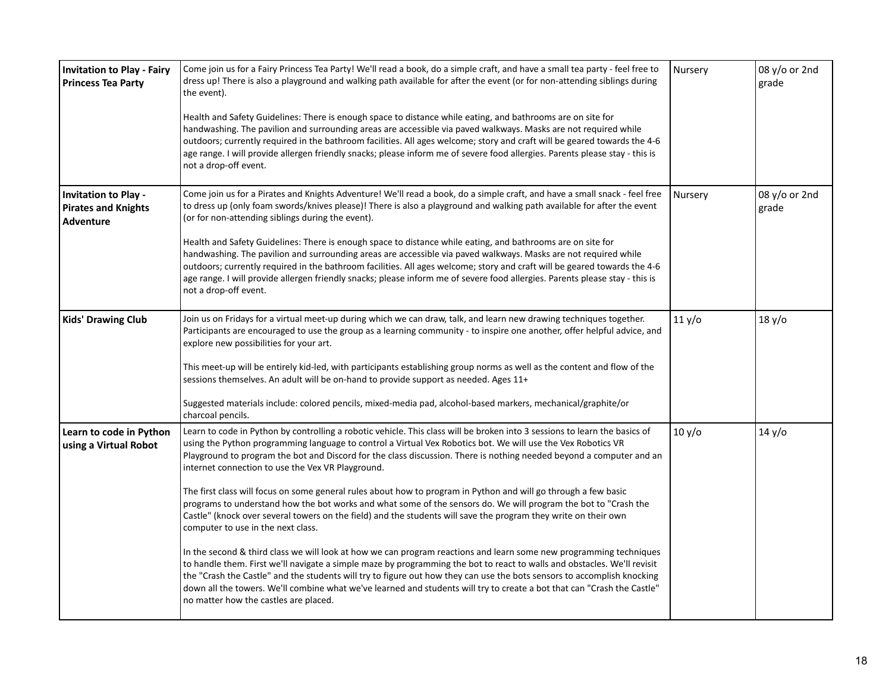| <b>Invitation to Play - Fairy</b><br><b>Princess Tea Party</b>                | Come join us for a Fairy Princess Tea Party! We'll read a book, do a simple craft, and have a small tea party - feel free to<br>dress up! There is also a playground and walking path available for after the event (or for non-attending siblings during<br>the event).<br>Health and Safety Guidelines: There is enough space to distance while eating, and bathrooms are on site for<br>handwashing. The pavilion and surrounding areas are accessible via paved walkways. Masks are not required while<br>outdoors; currently required in the bathroom facilities. All ages welcome; story and craft will be geared towards the 4-6<br>age range. I will provide allergen friendly snacks; please inform me of severe food allergies. Parents please stay - this is<br>not a drop-off event.                                                                                                                                                                                                                                                                                                                                                                                                                                                                                                                                                                        | Nursery | 08 y/o or 2nd<br>grade |
|-------------------------------------------------------------------------------|-------------------------------------------------------------------------------------------------------------------------------------------------------------------------------------------------------------------------------------------------------------------------------------------------------------------------------------------------------------------------------------------------------------------------------------------------------------------------------------------------------------------------------------------------------------------------------------------------------------------------------------------------------------------------------------------------------------------------------------------------------------------------------------------------------------------------------------------------------------------------------------------------------------------------------------------------------------------------------------------------------------------------------------------------------------------------------------------------------------------------------------------------------------------------------------------------------------------------------------------------------------------------------------------------------------------------------------------------------------------------|---------|------------------------|
| <b>Invitation to Play -</b><br><b>Pirates and Knights</b><br><b>Adventure</b> | Come join us for a Pirates and Knights Adventure! We'll read a book, do a simple craft, and have a small snack - feel free<br>to dress up (only foam swords/knives please)! There is also a playground and walking path available for after the event<br>(or for non-attending siblings during the event).<br>Health and Safety Guidelines: There is enough space to distance while eating, and bathrooms are on site for<br>handwashing. The pavilion and surrounding areas are accessible via paved walkways. Masks are not required while<br>outdoors; currently required in the bathroom facilities. All ages welcome; story and craft will be geared towards the 4-6<br>age range. I will provide allergen friendly snacks; please inform me of severe food allergies. Parents please stay - this is<br>not a drop-off event.                                                                                                                                                                                                                                                                                                                                                                                                                                                                                                                                      | Nursery | 08 y/o or 2nd<br>grade |
| <b>Kids' Drawing Club</b>                                                     | Join us on Fridays for a virtual meet-up during which we can draw, talk, and learn new drawing techniques together.<br>Participants are encouraged to use the group as a learning community - to inspire one another, offer helpful advice, and<br>explore new possibilities for your art.<br>This meet-up will be entirely kid-led, with participants establishing group norms as well as the content and flow of the<br>sessions themselves. An adult will be on-hand to provide support as needed. Ages 11+<br>Suggested materials include: colored pencils, mixed-media pad, alcohol-based markers, mechanical/graphite/or<br>charcoal pencils.                                                                                                                                                                                                                                                                                                                                                                                                                                                                                                                                                                                                                                                                                                                     | 11 y/o  | 18 y/o                 |
| Learn to code in Python<br>using a Virtual Robot                              | Learn to code in Python by controlling a robotic vehicle. This class will be broken into 3 sessions to learn the basics of<br>using the Python programming language to control a Virtual Vex Robotics bot. We will use the Vex Robotics VR<br>Playground to program the bot and Discord for the class discussion. There is nothing needed beyond a computer and an<br>internet connection to use the Vex VR Playground.<br>The first class will focus on some general rules about how to program in Python and will go through a few basic<br>programs to understand how the bot works and what some of the sensors do. We will program the bot to "Crash the<br>Castle" (knock over several towers on the field) and the students will save the program they write on their own<br>computer to use in the next class.<br>In the second & third class we will look at how we can program reactions and learn some new programming techniques<br>to handle them. First we'll navigate a simple maze by programming the bot to react to walls and obstacles. We'll revisit<br>the "Crash the Castle" and the students will try to figure out how they can use the bots sensors to accomplish knocking<br>down all the towers. We'll combine what we've learned and students will try to create a bot that can "Crash the Castle"<br>no matter how the castles are placed. | 10 y/o  | 14 y/o                 |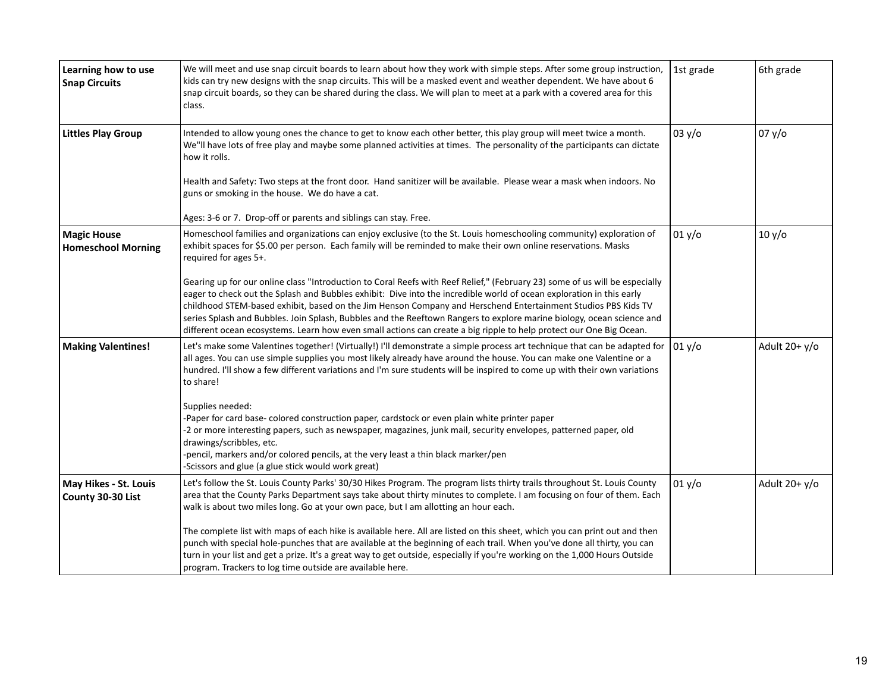| Learning how to use<br><b>Snap Circuits</b>     | We will meet and use snap circuit boards to learn about how they work with simple steps. After some group instruction,<br>kids can try new designs with the snap circuits. This will be a masked event and weather dependent. We have about 6<br>snap circuit boards, so they can be shared during the class. We will plan to meet at a park with a covered area for this<br>class.                                                                                                                                                                                                                                  | 1st grade | 6th grade       |
|-------------------------------------------------|----------------------------------------------------------------------------------------------------------------------------------------------------------------------------------------------------------------------------------------------------------------------------------------------------------------------------------------------------------------------------------------------------------------------------------------------------------------------------------------------------------------------------------------------------------------------------------------------------------------------|-----------|-----------------|
| <b>Littles Play Group</b>                       | Intended to allow young ones the chance to get to know each other better, this play group will meet twice a month.<br>We"ll have lots of free play and maybe some planned activities at times. The personality of the participants can dictate<br>how it rolls.                                                                                                                                                                                                                                                                                                                                                      | 03 y/o    | 07 y/o          |
|                                                 | Health and Safety: Two steps at the front door. Hand sanitizer will be available. Please wear a mask when indoors. No<br>guns or smoking in the house. We do have a cat.                                                                                                                                                                                                                                                                                                                                                                                                                                             |           |                 |
|                                                 | Ages: 3-6 or 7. Drop-off or parents and siblings can stay. Free.                                                                                                                                                                                                                                                                                                                                                                                                                                                                                                                                                     |           |                 |
| <b>Magic House</b><br><b>Homeschool Morning</b> | Homeschool families and organizations can enjoy exclusive (to the St. Louis homeschooling community) exploration of<br>exhibit spaces for \$5.00 per person. Each family will be reminded to make their own online reservations. Masks<br>required for ages 5+.                                                                                                                                                                                                                                                                                                                                                      | 01 y/o    | 10 y/o          |
|                                                 | Gearing up for our online class "Introduction to Coral Reefs with Reef Relief," (February 23) some of us will be especially<br>eager to check out the Splash and Bubbles exhibit: Dive into the incredible world of ocean exploration in this early<br>childhood STEM-based exhibit, based on the Jim Henson Company and Herschend Entertainment Studios PBS Kids TV<br>series Splash and Bubbles. Join Splash, Bubbles and the Reeftown Rangers to explore marine biology, ocean science and<br>different ocean ecosystems. Learn how even small actions can create a big ripple to help protect our One Big Ocean. |           |                 |
| <b>Making Valentines!</b>                       | Let's make some Valentines together! (Virtually!) I'll demonstrate a simple process art technique that can be adapted for<br>all ages. You can use simple supplies you most likely already have around the house. You can make one Valentine or a<br>hundred. I'll show a few different variations and I'm sure students will be inspired to come up with their own variations<br>to share!                                                                                                                                                                                                                          | 01 y/o    | Adult $20+ y/o$ |
|                                                 | Supplies needed:<br>-Paper for card base- colored construction paper, cardstock or even plain white printer paper<br>-2 or more interesting papers, such as newspaper, magazines, junk mail, security envelopes, patterned paper, old<br>drawings/scribbles, etc.<br>-pencil, markers and/or colored pencils, at the very least a thin black marker/pen<br>-Scissors and glue (a glue stick would work great)                                                                                                                                                                                                        |           |                 |
| May Hikes - St. Louis<br>County 30-30 List      | Let's follow the St. Louis County Parks' 30/30 Hikes Program. The program lists thirty trails throughout St. Louis County<br>area that the County Parks Department says take about thirty minutes to complete. I am focusing on four of them. Each<br>walk is about two miles long. Go at your own pace, but I am allotting an hour each.                                                                                                                                                                                                                                                                            | 01 y/o    | Adult $20+ y/o$ |
|                                                 | The complete list with maps of each hike is available here. All are listed on this sheet, which you can print out and then<br>punch with special hole-punches that are available at the beginning of each trail. When you've done all thirty, you can<br>turn in your list and get a prize. It's a great way to get outside, especially if you're working on the 1,000 Hours Outside<br>program. Trackers to log time outside are available here.                                                                                                                                                                    |           |                 |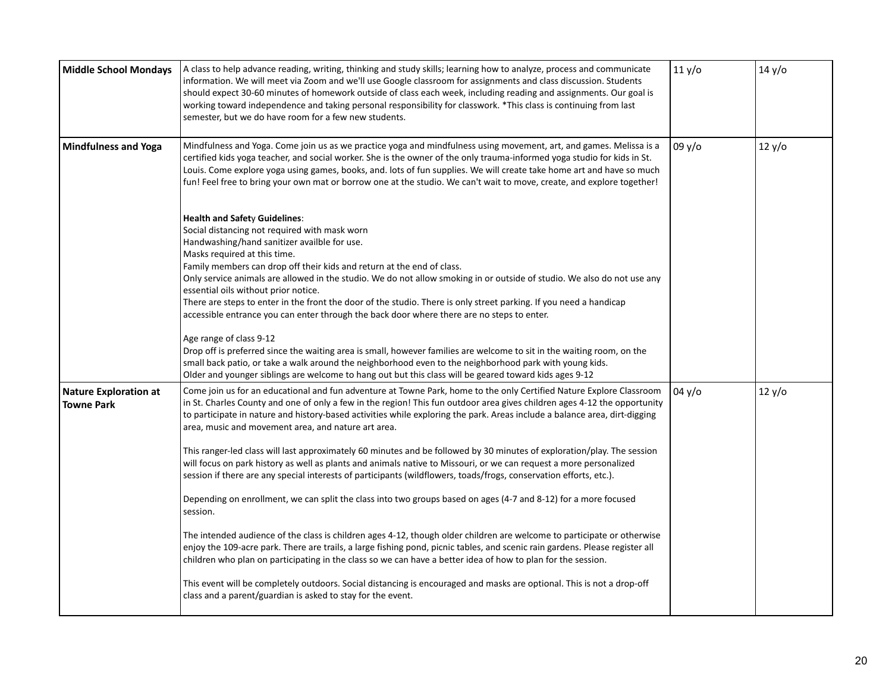| <b>Middle School Mondays</b>                      | A class to help advance reading, writing, thinking and study skills; learning how to analyze, process and communicate<br>information. We will meet via Zoom and we'll use Google classroom for assignments and class discussion. Students<br>should expect 30-60 minutes of homework outside of class each week, including reading and assignments. Our goal is<br>working toward independence and taking personal responsibility for classwork. *This class is continuing from last<br>semester, but we do have room for a few new students.                                                                                                                                                                                                                                                                 | 11 y/o | 14 y/o |
|---------------------------------------------------|---------------------------------------------------------------------------------------------------------------------------------------------------------------------------------------------------------------------------------------------------------------------------------------------------------------------------------------------------------------------------------------------------------------------------------------------------------------------------------------------------------------------------------------------------------------------------------------------------------------------------------------------------------------------------------------------------------------------------------------------------------------------------------------------------------------|--------|--------|
| <b>Mindfulness and Yoga</b>                       | Mindfulness and Yoga. Come join us as we practice yoga and mindfulness using movement, art, and games. Melissa is a<br>certified kids yoga teacher, and social worker. She is the owner of the only trauma-informed yoga studio for kids in St.<br>Louis. Come explore yoga using games, books, and. lots of fun supplies. We will create take home art and have so much<br>fun! Feel free to bring your own mat or borrow one at the studio. We can't wait to move, create, and explore together!                                                                                                                                                                                                                                                                                                            | 09y/o  | 12 y/o |
|                                                   | <b>Health and Safety Guidelines:</b><br>Social distancing not required with mask worn<br>Handwashing/hand sanitizer availble for use.<br>Masks required at this time.<br>Family members can drop off their kids and return at the end of class.<br>Only service animals are allowed in the studio. We do not allow smoking in or outside of studio. We also do not use any<br>essential oils without prior notice.<br>There are steps to enter in the front the door of the studio. There is only street parking. If you need a handicap<br>accessible entrance you can enter through the back door where there are no steps to enter.                                                                                                                                                                        |        |        |
|                                                   | Age range of class 9-12<br>Drop off is preferred since the waiting area is small, however families are welcome to sit in the waiting room, on the<br>small back patio, or take a walk around the neighborhood even to the neighborhood park with young kids.<br>Older and younger siblings are welcome to hang out but this class will be geared toward kids ages 9-12                                                                                                                                                                                                                                                                                                                                                                                                                                        |        |        |
| <b>Nature Exploration at</b><br><b>Towne Park</b> | Come join us for an educational and fun adventure at Towne Park, home to the only Certified Nature Explore Classroom<br>in St. Charles County and one of only a few in the region! This fun outdoor area gives children ages 4-12 the opportunity<br>to participate in nature and history-based activities while exploring the park. Areas include a balance area, dirt-digging<br>area, music and movement area, and nature art area.<br>This ranger-led class will last approximately 60 minutes and be followed by 30 minutes of exploration/play. The session<br>will focus on park history as well as plants and animals native to Missouri, or we can request a more personalized<br>session if there are any special interests of participants (wildflowers, toads/frogs, conservation efforts, etc.). | 04y/o  | 12 y/o |
|                                                   | Depending on enrollment, we can split the class into two groups based on ages (4-7 and 8-12) for a more focused<br>session.                                                                                                                                                                                                                                                                                                                                                                                                                                                                                                                                                                                                                                                                                   |        |        |
|                                                   | The intended audience of the class is children ages 4-12, though older children are welcome to participate or otherwise<br>enjoy the 109-acre park. There are trails, a large fishing pond, picnic tables, and scenic rain gardens. Please register all<br>children who plan on participating in the class so we can have a better idea of how to plan for the session.                                                                                                                                                                                                                                                                                                                                                                                                                                       |        |        |
|                                                   | This event will be completely outdoors. Social distancing is encouraged and masks are optional. This is not a drop-off<br>class and a parent/guardian is asked to stay for the event.                                                                                                                                                                                                                                                                                                                                                                                                                                                                                                                                                                                                                         |        |        |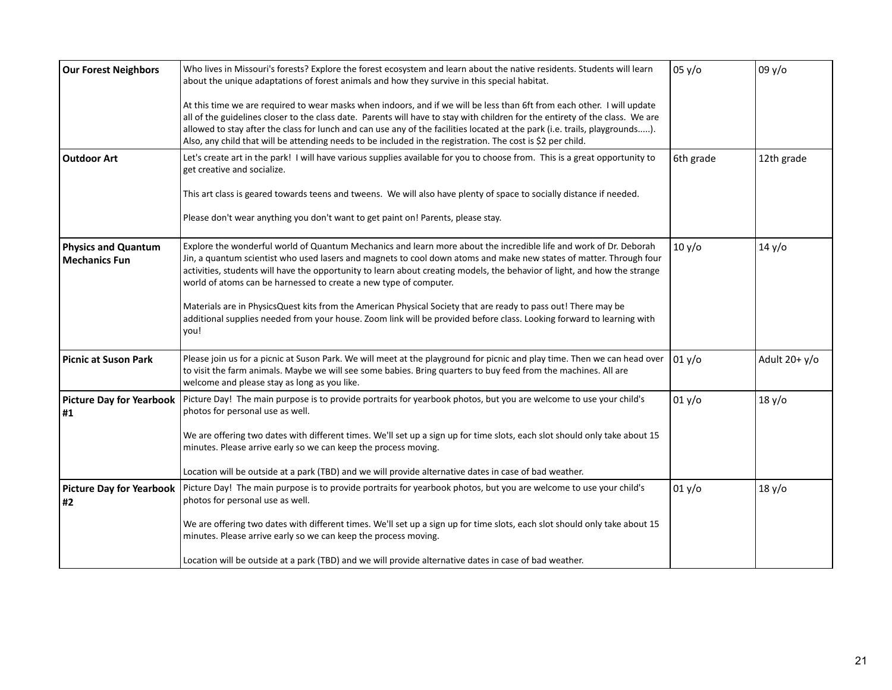| <b>Our Forest Neighbors</b>                        | Who lives in Missouri's forests? Explore the forest ecosystem and learn about the native residents. Students will learn<br>about the unique adaptations of forest animals and how they survive in this special habitat.                                                                                                                                                                                                                                                                                | 05 y/o    | 09y/o           |
|----------------------------------------------------|--------------------------------------------------------------------------------------------------------------------------------------------------------------------------------------------------------------------------------------------------------------------------------------------------------------------------------------------------------------------------------------------------------------------------------------------------------------------------------------------------------|-----------|-----------------|
|                                                    | At this time we are required to wear masks when indoors, and if we will be less than 6ft from each other. I will update<br>all of the guidelines closer to the class date. Parents will have to stay with children for the entirety of the class. We are<br>allowed to stay after the class for lunch and can use any of the facilities located at the park (i.e. trails, playgrounds).<br>Also, any child that will be attending needs to be included in the registration. The cost is \$2 per child. |           |                 |
| <b>Outdoor Art</b>                                 | Let's create art in the park! I will have various supplies available for you to choose from. This is a great opportunity to<br>get creative and socialize.                                                                                                                                                                                                                                                                                                                                             | 6th grade | 12th grade      |
|                                                    | This art class is geared towards teens and tweens. We will also have plenty of space to socially distance if needed.<br>Please don't wear anything you don't want to get paint on! Parents, please stay.                                                                                                                                                                                                                                                                                               |           |                 |
| <b>Physics and Quantum</b><br><b>Mechanics Fun</b> | Explore the wonderful world of Quantum Mechanics and learn more about the incredible life and work of Dr. Deborah<br>Jin, a quantum scientist who used lasers and magnets to cool down atoms and make new states of matter. Through four<br>activities, students will have the opportunity to learn about creating models, the behavior of light, and how the strange<br>world of atoms can be harnessed to create a new type of computer.                                                             | 10 y/o    | 14 y/o          |
|                                                    | Materials are in PhysicsQuest kits from the American Physical Society that are ready to pass out! There may be<br>additional supplies needed from your house. Zoom link will be provided before class. Looking forward to learning with<br>you!                                                                                                                                                                                                                                                        |           |                 |
| <b>Picnic at Suson Park</b>                        | Please join us for a picnic at Suson Park. We will meet at the playground for picnic and play time. Then we can head over<br>to visit the farm animals. Maybe we will see some babies. Bring quarters to buy feed from the machines. All are<br>welcome and please stay as long as you like.                                                                                                                                                                                                           | 01 y/o    | Adult $20+ y/o$ |
| #1                                                 | Picture Day for Yearbook   Picture Day! The main purpose is to provide portraits for yearbook photos, but you are welcome to use your child's<br>photos for personal use as well.                                                                                                                                                                                                                                                                                                                      | 01 y/o    | 18 y/o          |
|                                                    | We are offering two dates with different times. We'll set up a sign up for time slots, each slot should only take about 15<br>minutes. Please arrive early so we can keep the process moving.                                                                                                                                                                                                                                                                                                          |           |                 |
|                                                    | Location will be outside at a park (TBD) and we will provide alternative dates in case of bad weather.                                                                                                                                                                                                                                                                                                                                                                                                 |           |                 |
| #2                                                 | Picture Day for Yearbook   Picture Day! The main purpose is to provide portraits for yearbook photos, but you are welcome to use your child's<br>photos for personal use as well.                                                                                                                                                                                                                                                                                                                      | 01 y/o    | 18 y/o          |
|                                                    | We are offering two dates with different times. We'll set up a sign up for time slots, each slot should only take about 15<br>minutes. Please arrive early so we can keep the process moving.                                                                                                                                                                                                                                                                                                          |           |                 |
|                                                    | Location will be outside at a park (TBD) and we will provide alternative dates in case of bad weather.                                                                                                                                                                                                                                                                                                                                                                                                 |           |                 |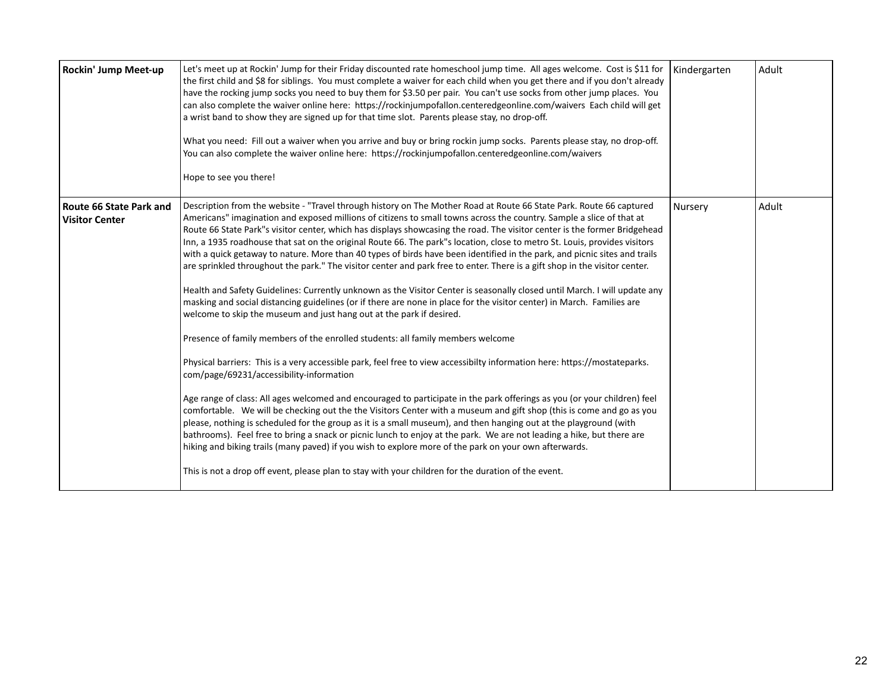| Rockin' Jump Meet-up                             | Let's meet up at Rockin' Jump for their Friday discounted rate homeschool jump time. All ages welcome. Cost is \$11 for<br>the first child and \$8 for siblings. You must complete a waiver for each child when you get there and if you don't already<br>have the rocking jump socks you need to buy them for \$3.50 per pair. You can't use socks from other jump places. You<br>can also complete the waiver online here: https://rockinjumpofallon.centeredgeonline.com/waivers Each child will get<br>a wrist band to show they are signed up for that time slot. Parents please stay, no drop-off.<br>What you need: Fill out a waiver when you arrive and buy or bring rockin jump socks. Parents please stay, no drop-off.<br>You can also complete the waiver online here: https://rockinjumpofallon.centeredgeonline.com/waivers<br>Hope to see you there!                                                                                                                                                                                                                                                                                                                                                                                                                                                                                                                                                                                                                                                                                                                                                                                                                                                                                                                                                                                                                                                                                                                                                                                                          | Kindergarten | Adult |
|--------------------------------------------------|-------------------------------------------------------------------------------------------------------------------------------------------------------------------------------------------------------------------------------------------------------------------------------------------------------------------------------------------------------------------------------------------------------------------------------------------------------------------------------------------------------------------------------------------------------------------------------------------------------------------------------------------------------------------------------------------------------------------------------------------------------------------------------------------------------------------------------------------------------------------------------------------------------------------------------------------------------------------------------------------------------------------------------------------------------------------------------------------------------------------------------------------------------------------------------------------------------------------------------------------------------------------------------------------------------------------------------------------------------------------------------------------------------------------------------------------------------------------------------------------------------------------------------------------------------------------------------------------------------------------------------------------------------------------------------------------------------------------------------------------------------------------------------------------------------------------------------------------------------------------------------------------------------------------------------------------------------------------------------------------------------------------------------------------------------------------------------|--------------|-------|
| Route 66 State Park and<br><b>Visitor Center</b> | Description from the website - "Travel through history on The Mother Road at Route 66 State Park. Route 66 captured<br>Americans" imagination and exposed millions of citizens to small towns across the country. Sample a slice of that at<br>Route 66 State Park"s visitor center, which has displays showcasing the road. The visitor center is the former Bridgehead<br>Inn, a 1935 roadhouse that sat on the original Route 66. The park"s location, close to metro St. Louis, provides visitors<br>with a quick getaway to nature. More than 40 types of birds have been identified in the park, and picnic sites and trails<br>are sprinkled throughout the park." The visitor center and park free to enter. There is a gift shop in the visitor center.<br>Health and Safety Guidelines: Currently unknown as the Visitor Center is seasonally closed until March. I will update any<br>masking and social distancing guidelines (or if there are none in place for the visitor center) in March. Families are<br>welcome to skip the museum and just hang out at the park if desired.<br>Presence of family members of the enrolled students: all family members welcome<br>Physical barriers: This is a very accessible park, feel free to view accessibilty information here: https://mostateparks.<br>com/page/69231/accessibility-information<br>Age range of class: All ages welcomed and encouraged to participate in the park offerings as you (or your children) feel<br>comfortable. We will be checking out the the Visitors Center with a museum and gift shop (this is come and go as you<br>please, nothing is scheduled for the group as it is a small museum), and then hanging out at the playground (with<br>bathrooms). Feel free to bring a snack or picnic lunch to enjoy at the park. We are not leading a hike, but there are<br>hiking and biking trails (many paved) if you wish to explore more of the park on your own afterwards.<br>This is not a drop off event, please plan to stay with your children for the duration of the event. | Nursery      | Adult |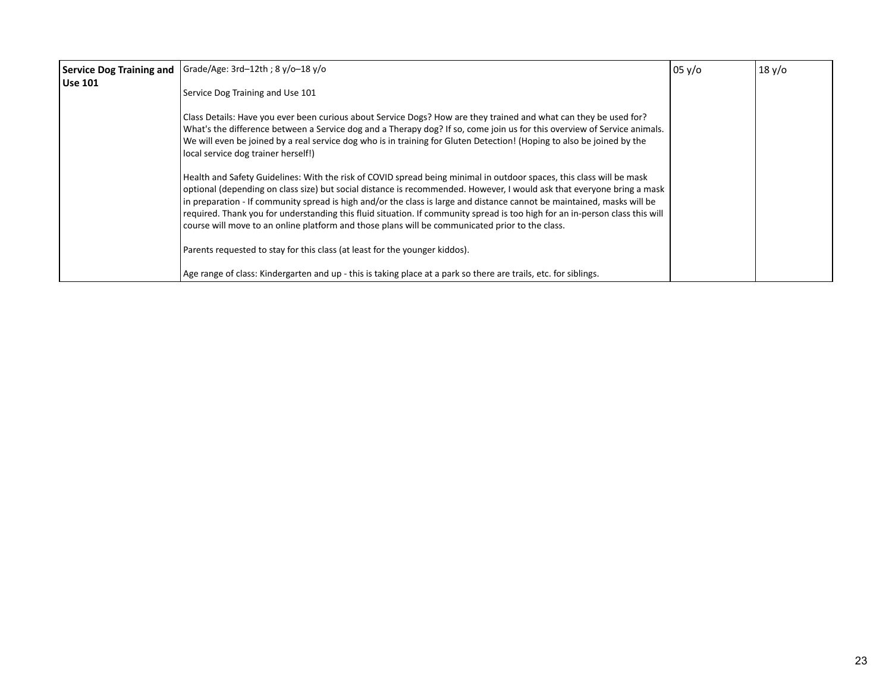|                | Service Dog Training and   Grade/Age: 3rd-12th ; 8 y/o-18 y/o                                                                                                                                                                                                                                                                                                                                                                                                                                                                                                                                                | 05 y/o | 18 y/o |
|----------------|--------------------------------------------------------------------------------------------------------------------------------------------------------------------------------------------------------------------------------------------------------------------------------------------------------------------------------------------------------------------------------------------------------------------------------------------------------------------------------------------------------------------------------------------------------------------------------------------------------------|--------|--------|
| <b>Use 101</b> | Service Dog Training and Use 101                                                                                                                                                                                                                                                                                                                                                                                                                                                                                                                                                                             |        |        |
|                | Class Details: Have you ever been curious about Service Dogs? How are they trained and what can they be used for?<br>What's the difference between a Service dog and a Therapy dog? If so, come join us for this overview of Service animals.<br>We will even be joined by a real service dog who is in training for Gluten Detection! (Hoping to also be joined by the<br>local service dog trainer herself!)                                                                                                                                                                                               |        |        |
|                | Health and Safety Guidelines: With the risk of COVID spread being minimal in outdoor spaces, this class will be mask<br>optional (depending on class size) but social distance is recommended. However, I would ask that everyone bring a mask<br>in preparation - If community spread is high and/or the class is large and distance cannot be maintained, masks will be<br>required. Thank you for understanding this fluid situation. If community spread is too high for an in-person class this will<br>course will move to an online platform and those plans will be communicated prior to the class. |        |        |
|                | Parents requested to stay for this class (at least for the younger kiddos).                                                                                                                                                                                                                                                                                                                                                                                                                                                                                                                                  |        |        |
|                | Age range of class: Kindergarten and up - this is taking place at a park so there are trails, etc. for siblings.                                                                                                                                                                                                                                                                                                                                                                                                                                                                                             |        |        |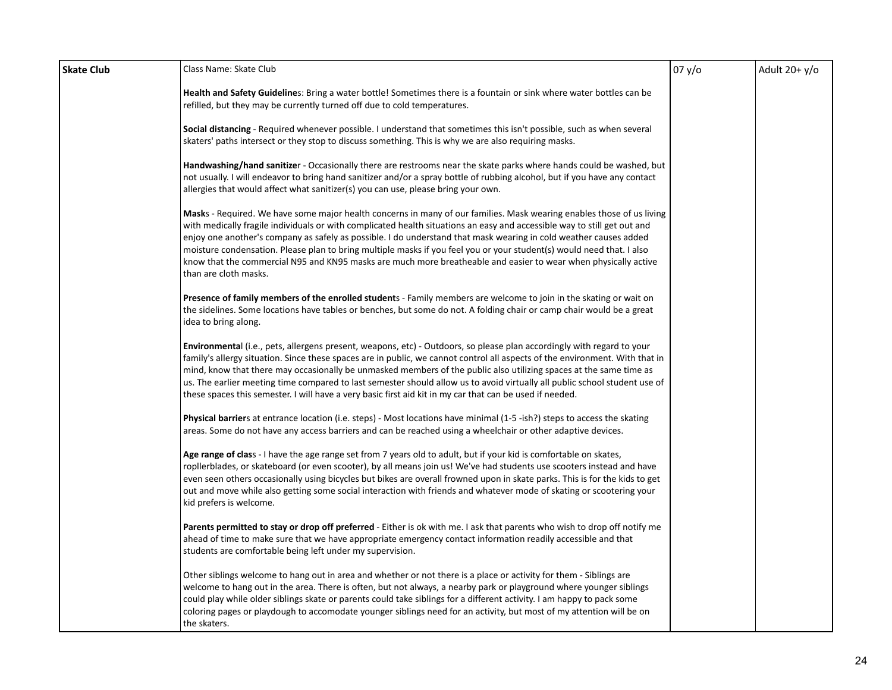| <b>Skate Club</b> | Class Name: Skate Club                                                                                                                                                                                                                                                                                                                                                                                                                                                                                                                                                                                                                      | 07 y/o | Adult $20+ y/o$ |
|-------------------|---------------------------------------------------------------------------------------------------------------------------------------------------------------------------------------------------------------------------------------------------------------------------------------------------------------------------------------------------------------------------------------------------------------------------------------------------------------------------------------------------------------------------------------------------------------------------------------------------------------------------------------------|--------|-----------------|
|                   | Health and Safety Guidelines: Bring a water bottle! Sometimes there is a fountain or sink where water bottles can be<br>refilled, but they may be currently turned off due to cold temperatures.                                                                                                                                                                                                                                                                                                                                                                                                                                            |        |                 |
|                   | Social distancing - Required whenever possible. I understand that sometimes this isn't possible, such as when several<br>skaters' paths intersect or they stop to discuss something. This is why we are also requiring masks.                                                                                                                                                                                                                                                                                                                                                                                                               |        |                 |
|                   | Handwashing/hand sanitizer - Occasionally there are restrooms near the skate parks where hands could be washed, but<br>not usually. I will endeavor to bring hand sanitizer and/or a spray bottle of rubbing alcohol, but if you have any contact<br>allergies that would affect what sanitizer(s) you can use, please bring your own.                                                                                                                                                                                                                                                                                                      |        |                 |
|                   | Masks - Required. We have some major health concerns in many of our families. Mask wearing enables those of us living<br>with medically fragile individuals or with complicated health situations an easy and accessible way to still get out and<br>enjoy one another's company as safely as possible. I do understand that mask wearing in cold weather causes added<br>moisture condensation. Please plan to bring multiple masks if you feel you or your student(s) would need that. I also<br>know that the commercial N95 and KN95 masks are much more breatheable and easier to wear when physically active<br>than are cloth masks. |        |                 |
|                   | Presence of family members of the enrolled students - Family members are welcome to join in the skating or wait on<br>the sidelines. Some locations have tables or benches, but some do not. A folding chair or camp chair would be a great<br>idea to bring along.                                                                                                                                                                                                                                                                                                                                                                         |        |                 |
|                   | <b>Environmenta</b> l (i.e., pets, allergens present, weapons, etc) - Outdoors, so please plan accordingly with regard to your<br>family's allergy situation. Since these spaces are in public, we cannot control all aspects of the environment. With that in<br>mind, know that there may occasionally be unmasked members of the public also utilizing spaces at the same time as<br>us. The earlier meeting time compared to last semester should allow us to avoid virtually all public school student use of<br>these spaces this semester. I will have a very basic first aid kit in my car that can be used if needed.              |        |                 |
|                   | <b>Physical barrier</b> s at entrance location (i.e. steps) - Most locations have minimal (1-5 -ish?) steps to access the skating<br>areas. Some do not have any access barriers and can be reached using a wheelchair or other adaptive devices.                                                                                                                                                                                                                                                                                                                                                                                           |        |                 |
|                   | Age range of class - I have the age range set from 7 years old to adult, but if your kid is comfortable on skates,<br>ropllerblades, or skateboard (or even scooter), by all means join us! We've had students use scooters instead and have<br>even seen others occasionally using bicycles but bikes are overall frowned upon in skate parks. This is for the kids to get<br>out and move while also getting some social interaction with friends and whatever mode of skating or scootering your<br>kid prefers is welcome.                                                                                                              |        |                 |
|                   | Parents permitted to stay or drop off preferred - Either is ok with me. I ask that parents who wish to drop off notify me<br>ahead of time to make sure that we have appropriate emergency contact information readily accessible and that<br>students are comfortable being left under my supervision.                                                                                                                                                                                                                                                                                                                                     |        |                 |
|                   | Other siblings welcome to hang out in area and whether or not there is a place or activity for them - Siblings are<br>welcome to hang out in the area. There is often, but not always, a nearby park or playground where younger siblings<br>could play while older siblings skate or parents could take siblings for a different activity. I am happy to pack some<br>coloring pages or playdough to accomodate younger siblings need for an activity, but most of my attention will be on<br>the skaters.                                                                                                                                 |        |                 |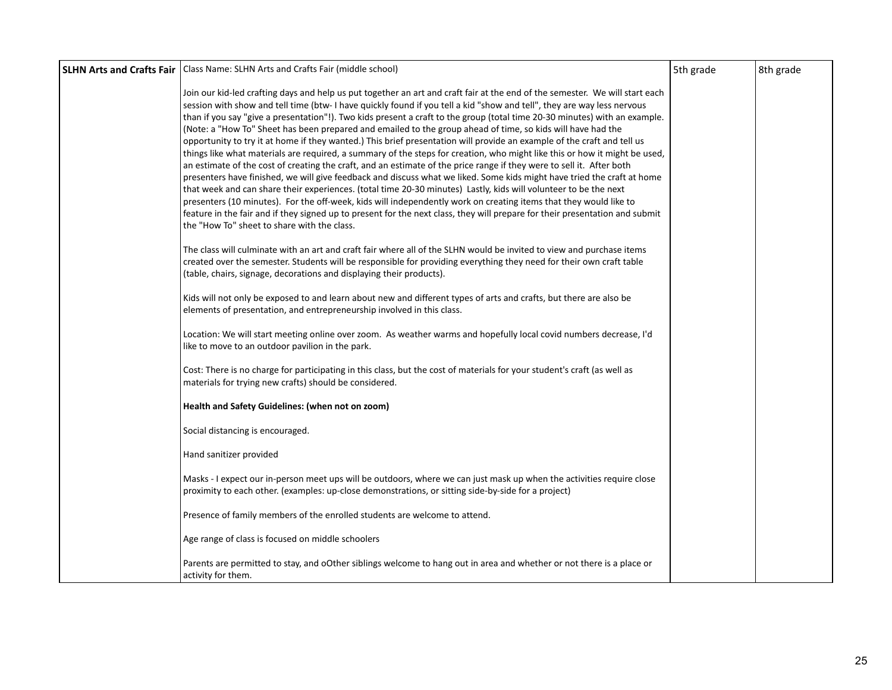| <b>SLHN Arts and Crafts Fair</b>   Class Name: SLHN Arts and Crafts Fair (middle school)                                                                                                                                                                                                                                                                                                                                                                                                                                                                                                                                                                                                                                                                                                                                                                                                                                                                                                                                                                                                                                                                                                                                                                                                                                                                                                                                                 | 5th grade | 8th grade |
|------------------------------------------------------------------------------------------------------------------------------------------------------------------------------------------------------------------------------------------------------------------------------------------------------------------------------------------------------------------------------------------------------------------------------------------------------------------------------------------------------------------------------------------------------------------------------------------------------------------------------------------------------------------------------------------------------------------------------------------------------------------------------------------------------------------------------------------------------------------------------------------------------------------------------------------------------------------------------------------------------------------------------------------------------------------------------------------------------------------------------------------------------------------------------------------------------------------------------------------------------------------------------------------------------------------------------------------------------------------------------------------------------------------------------------------|-----------|-----------|
| Join our kid-led crafting days and help us put together an art and craft fair at the end of the semester. We will start each<br>session with show and tell time (btw-1 have quickly found if you tell a kid "show and tell", they are way less nervous<br>than if you say "give a presentation"!). Two kids present a craft to the group (total time 20-30 minutes) with an example.<br>(Note: a "How To" Sheet has been prepared and emailed to the group ahead of time, so kids will have had the<br>opportunity to try it at home if they wanted.) This brief presentation will provide an example of the craft and tell us<br>things like what materials are required, a summary of the steps for creation, who might like this or how it might be used,<br>an estimate of the cost of creating the craft, and an estimate of the price range if they were to sell it. After both<br>presenters have finished, we will give feedback and discuss what we liked. Some kids might have tried the craft at home<br>that week and can share their experiences. (total time 20-30 minutes) Lastly, kids will volunteer to be the next<br>presenters (10 minutes). For the off-week, kids will independently work on creating items that they would like to<br>feature in the fair and if they signed up to present for the next class, they will prepare for their presentation and submit<br>the "How To" sheet to share with the class. |           |           |
| The class will culminate with an art and craft fair where all of the SLHN would be invited to view and purchase items<br>created over the semester. Students will be responsible for providing everything they need for their own craft table<br>(table, chairs, signage, decorations and displaying their products).                                                                                                                                                                                                                                                                                                                                                                                                                                                                                                                                                                                                                                                                                                                                                                                                                                                                                                                                                                                                                                                                                                                    |           |           |
| Kids will not only be exposed to and learn about new and different types of arts and crafts, but there are also be<br>elements of presentation, and entrepreneurship involved in this class.                                                                                                                                                                                                                                                                                                                                                                                                                                                                                                                                                                                                                                                                                                                                                                                                                                                                                                                                                                                                                                                                                                                                                                                                                                             |           |           |
| Location: We will start meeting online over zoom. As weather warms and hopefully local covid numbers decrease, I'd<br>like to move to an outdoor pavilion in the park.                                                                                                                                                                                                                                                                                                                                                                                                                                                                                                                                                                                                                                                                                                                                                                                                                                                                                                                                                                                                                                                                                                                                                                                                                                                                   |           |           |
| Cost: There is no charge for participating in this class, but the cost of materials for your student's craft (as well as<br>materials for trying new crafts) should be considered.                                                                                                                                                                                                                                                                                                                                                                                                                                                                                                                                                                                                                                                                                                                                                                                                                                                                                                                                                                                                                                                                                                                                                                                                                                                       |           |           |
| Health and Safety Guidelines: (when not on zoom)                                                                                                                                                                                                                                                                                                                                                                                                                                                                                                                                                                                                                                                                                                                                                                                                                                                                                                                                                                                                                                                                                                                                                                                                                                                                                                                                                                                         |           |           |
| Social distancing is encouraged.                                                                                                                                                                                                                                                                                                                                                                                                                                                                                                                                                                                                                                                                                                                                                                                                                                                                                                                                                                                                                                                                                                                                                                                                                                                                                                                                                                                                         |           |           |
| Hand sanitizer provided                                                                                                                                                                                                                                                                                                                                                                                                                                                                                                                                                                                                                                                                                                                                                                                                                                                                                                                                                                                                                                                                                                                                                                                                                                                                                                                                                                                                                  |           |           |
| Masks - I expect our in-person meet ups will be outdoors, where we can just mask up when the activities require close<br>proximity to each other. (examples: up-close demonstrations, or sitting side-by-side for a project)                                                                                                                                                                                                                                                                                                                                                                                                                                                                                                                                                                                                                                                                                                                                                                                                                                                                                                                                                                                                                                                                                                                                                                                                             |           |           |
| Presence of family members of the enrolled students are welcome to attend.                                                                                                                                                                                                                                                                                                                                                                                                                                                                                                                                                                                                                                                                                                                                                                                                                                                                                                                                                                                                                                                                                                                                                                                                                                                                                                                                                               |           |           |
| Age range of class is focused on middle schoolers                                                                                                                                                                                                                                                                                                                                                                                                                                                                                                                                                                                                                                                                                                                                                                                                                                                                                                                                                                                                                                                                                                                                                                                                                                                                                                                                                                                        |           |           |
| Parents are permitted to stay, and oOther siblings welcome to hang out in area and whether or not there is a place or<br>activity for them.                                                                                                                                                                                                                                                                                                                                                                                                                                                                                                                                                                                                                                                                                                                                                                                                                                                                                                                                                                                                                                                                                                                                                                                                                                                                                              |           |           |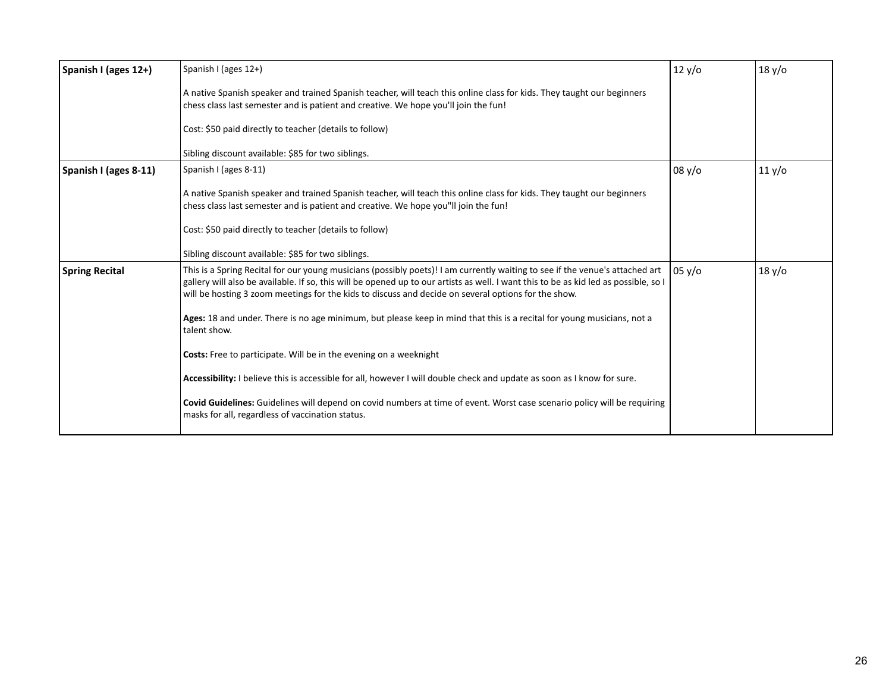| Spanish I (ages 12+)  | Spanish I (ages 12+)                                                                                                                                                                                                                                                                                                                                                        | 12 y/o        | 18 y/o |
|-----------------------|-----------------------------------------------------------------------------------------------------------------------------------------------------------------------------------------------------------------------------------------------------------------------------------------------------------------------------------------------------------------------------|---------------|--------|
|                       | A native Spanish speaker and trained Spanish teacher, will teach this online class for kids. They taught our beginners<br>chess class last semester and is patient and creative. We hope you'll join the fun!                                                                                                                                                               |               |        |
|                       | Cost: \$50 paid directly to teacher (details to follow)                                                                                                                                                                                                                                                                                                                     |               |        |
|                       | Sibling discount available: \$85 for two siblings.                                                                                                                                                                                                                                                                                                                          |               |        |
| Spanish I (ages 8-11) | Spanish I (ages 8-11)                                                                                                                                                                                                                                                                                                                                                       | 08 y/o        | 11 y/o |
|                       | A native Spanish speaker and trained Spanish teacher, will teach this online class for kids. They taught our beginners<br>chess class last semester and is patient and creative. We hope you"II join the fun!                                                                                                                                                               |               |        |
|                       | Cost: \$50 paid directly to teacher (details to follow)                                                                                                                                                                                                                                                                                                                     |               |        |
|                       | Sibling discount available: \$85 for two siblings.                                                                                                                                                                                                                                                                                                                          |               |        |
| <b>Spring Recital</b> | This is a Spring Recital for our young musicians (possibly poets)! I am currently waiting to see if the venue's attached art<br>gallery will also be available. If so, this will be opened up to our artists as well. I want this to be as kid led as possible, so I<br>will be hosting 3 zoom meetings for the kids to discuss and decide on several options for the show. | $05 \sqrt{0}$ | 18 y/o |
|                       | Ages: 18 and under. There is no age minimum, but please keep in mind that this is a recital for young musicians, not a<br>talent show.                                                                                                                                                                                                                                      |               |        |
|                       | Costs: Free to participate. Will be in the evening on a weeknight                                                                                                                                                                                                                                                                                                           |               |        |
|                       | Accessibility: I believe this is accessible for all, however I will double check and update as soon as I know for sure.                                                                                                                                                                                                                                                     |               |        |
|                       | Covid Guidelines: Guidelines will depend on covid numbers at time of event. Worst case scenario policy will be requiring<br>masks for all, regardless of vaccination status.                                                                                                                                                                                                |               |        |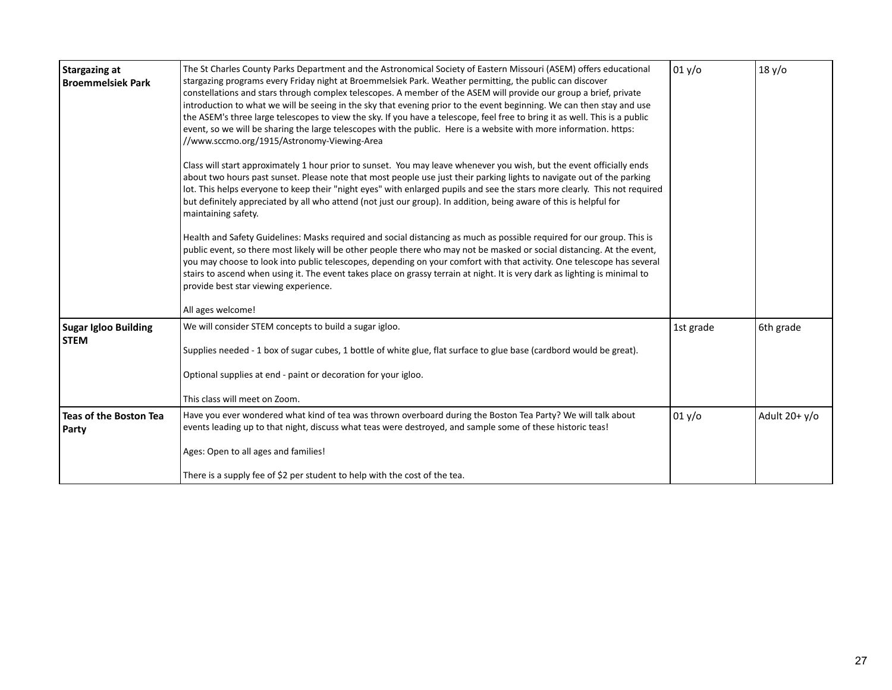| <b>Stargazing at</b><br><b>Broemmelsiek Park</b> | The St Charles County Parks Department and the Astronomical Society of Eastern Missouri (ASEM) offers educational<br>stargazing programs every Friday night at Broemmelsiek Park. Weather permitting, the public can discover<br>constellations and stars through complex telescopes. A member of the ASEM will provide our group a brief, private<br>introduction to what we will be seeing in the sky that evening prior to the event beginning. We can then stay and use<br>the ASEM's three large telescopes to view the sky. If you have a telescope, feel free to bring it as well. This is a public<br>event, so we will be sharing the large telescopes with the public. Here is a website with more information. https:<br>//www.sccmo.org/1915/Astronomy-Viewing-Area<br>Class will start approximately 1 hour prior to sunset. You may leave whenever you wish, but the event officially ends<br>about two hours past sunset. Please note that most people use just their parking lights to navigate out of the parking<br>lot. This helps everyone to keep their "night eyes" with enlarged pupils and see the stars more clearly. This not required<br>but definitely appreciated by all who attend (not just our group). In addition, being aware of this is helpful for<br>maintaining safety.<br>Health and Safety Guidelines: Masks required and social distancing as much as possible required for our group. This is<br>public event, so there most likely will be other people there who may not be masked or social distancing. At the event,<br>you may choose to look into public telescopes, depending on your comfort with that activity. One telescope has several<br>stairs to ascend when using it. The event takes place on grassy terrain at night. It is very dark as lighting is minimal to<br>provide best star viewing experience.<br>All ages welcome! | 01 y/o    | 18 y/o          |
|--------------------------------------------------|-------------------------------------------------------------------------------------------------------------------------------------------------------------------------------------------------------------------------------------------------------------------------------------------------------------------------------------------------------------------------------------------------------------------------------------------------------------------------------------------------------------------------------------------------------------------------------------------------------------------------------------------------------------------------------------------------------------------------------------------------------------------------------------------------------------------------------------------------------------------------------------------------------------------------------------------------------------------------------------------------------------------------------------------------------------------------------------------------------------------------------------------------------------------------------------------------------------------------------------------------------------------------------------------------------------------------------------------------------------------------------------------------------------------------------------------------------------------------------------------------------------------------------------------------------------------------------------------------------------------------------------------------------------------------------------------------------------------------------------------------------------------------------------------------------------------------------------------------------------------------------------------|-----------|-----------------|
| <b>Sugar Igloo Building</b><br><b>STEM</b>       | We will consider STEM concepts to build a sugar igloo.<br>Supplies needed - 1 box of sugar cubes, 1 bottle of white glue, flat surface to glue base (cardbord would be great).<br>Optional supplies at end - paint or decoration for your igloo.<br>This class will meet on Zoom.                                                                                                                                                                                                                                                                                                                                                                                                                                                                                                                                                                                                                                                                                                                                                                                                                                                                                                                                                                                                                                                                                                                                                                                                                                                                                                                                                                                                                                                                                                                                                                                                         | 1st grade | 6th grade       |
| Teas of the Boston Tea<br>Party                  | Have you ever wondered what kind of tea was thrown overboard during the Boston Tea Party? We will talk about<br>events leading up to that night, discuss what teas were destroyed, and sample some of these historic teas!<br>Ages: Open to all ages and families!<br>There is a supply fee of \$2 per student to help with the cost of the tea.                                                                                                                                                                                                                                                                                                                                                                                                                                                                                                                                                                                                                                                                                                                                                                                                                                                                                                                                                                                                                                                                                                                                                                                                                                                                                                                                                                                                                                                                                                                                          | 01 y/o    | Adult $20+ y/o$ |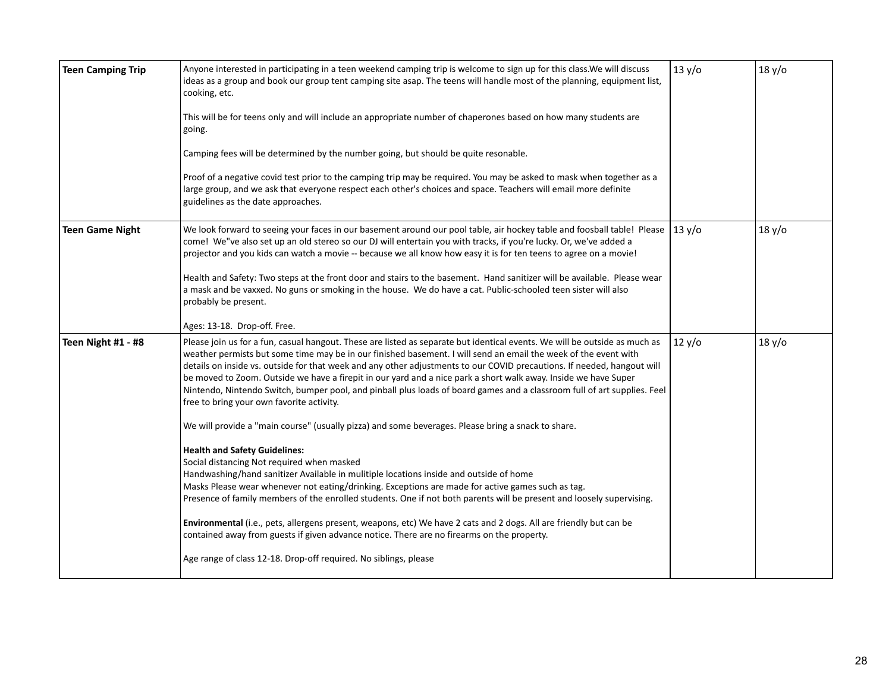| <b>Teen Camping Trip</b> | Anyone interested in participating in a teen weekend camping trip is welcome to sign up for this class. We will discuss<br>ideas as a group and book our group tent camping site asap. The teens will handle most of the planning, equipment list,<br>cooking, etc.<br>This will be for teens only and will include an appropriate number of chaperones based on how many students are<br>going.<br>Camping fees will be determined by the number going, but should be quite resonable.<br>Proof of a negative covid test prior to the camping trip may be required. You may be asked to mask when together as a<br>large group, and we ask that everyone respect each other's choices and space. Teachers will email more definite<br>guidelines as the date approaches.                                                                                                                                                                                                                                                                                                                                                                                                                                                                                                                                                                                                                                                                                                        | 13 y/o | 18 y/o |
|--------------------------|----------------------------------------------------------------------------------------------------------------------------------------------------------------------------------------------------------------------------------------------------------------------------------------------------------------------------------------------------------------------------------------------------------------------------------------------------------------------------------------------------------------------------------------------------------------------------------------------------------------------------------------------------------------------------------------------------------------------------------------------------------------------------------------------------------------------------------------------------------------------------------------------------------------------------------------------------------------------------------------------------------------------------------------------------------------------------------------------------------------------------------------------------------------------------------------------------------------------------------------------------------------------------------------------------------------------------------------------------------------------------------------------------------------------------------------------------------------------------------|--------|--------|
| <b>Teen Game Night</b>   | We look forward to seeing your faces in our basement around our pool table, air hockey table and foosball table! Please<br>come! We"ve also set up an old stereo so our DJ will entertain you with tracks, if you're lucky. Or, we've added a<br>projector and you kids can watch a movie -- because we all know how easy it is for ten teens to agree on a movie!<br>Health and Safety: Two steps at the front door and stairs to the basement. Hand sanitizer will be available. Please wear<br>a mask and be vaxxed. No guns or smoking in the house. We do have a cat. Public-schooled teen sister will also<br>probably be present.<br>Ages: 13-18. Drop-off. Free.                                                                                                                                                                                                                                                                                                                                                                                                                                                                                                                                                                                                                                                                                                                                                                                                         | 13 y/o | 18 y/o |
| Teen Night #1 - #8       | Please join us for a fun, casual hangout. These are listed as separate but identical events. We will be outside as much as<br>weather permists but some time may be in our finished basement. I will send an email the week of the event with<br>details on inside vs. outside for that week and any other adjustments to our COVID precautions. If needed, hangout will<br>be moved to Zoom. Outside we have a firepit in our yard and a nice park a short walk away. Inside we have Super<br>Nintendo, Nintendo Switch, bumper pool, and pinball plus loads of board games and a classroom full of art supplies. Feel<br>free to bring your own favorite activity.<br>We will provide a "main course" (usually pizza) and some beverages. Please bring a snack to share.<br><b>Health and Safety Guidelines:</b><br>Social distancing Not required when masked<br>Handwashing/hand sanitizer Available in mulitiple locations inside and outside of home<br>Masks Please wear whenever not eating/drinking. Exceptions are made for active games such as tag.<br>Presence of family members of the enrolled students. One if not both parents will be present and loosely supervising.<br>Environmental (i.e., pets, allergens present, weapons, etc) We have 2 cats and 2 dogs. All are friendly but can be<br>contained away from guests if given advance notice. There are no firearms on the property.<br>Age range of class 12-18. Drop-off required. No siblings, please | 12 y/o | 18 y/o |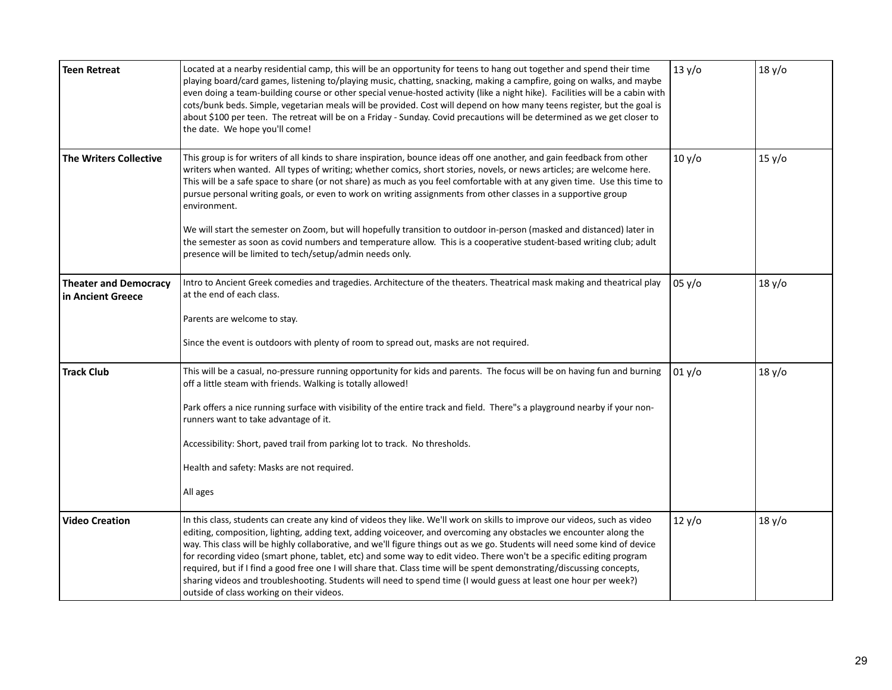| <b>Teen Retreat</b>                               | Located at a nearby residential camp, this will be an opportunity for teens to hang out together and spend their time<br>playing board/card games, listening to/playing music, chatting, snacking, making a campfire, going on walks, and maybe<br>even doing a team-building course or other special venue-hosted activity (like a night hike). Facilities will be a cabin with<br>cots/bunk beds. Simple, vegetarian meals will be provided. Cost will depend on how many teens register, but the goal is<br>about \$100 per teen. The retreat will be on a Friday - Sunday. Covid precautions will be determined as we get closer to<br>the date. We hope you'll come!                                                                                                                                                      | 13 y/o | 18 y/o |
|---------------------------------------------------|--------------------------------------------------------------------------------------------------------------------------------------------------------------------------------------------------------------------------------------------------------------------------------------------------------------------------------------------------------------------------------------------------------------------------------------------------------------------------------------------------------------------------------------------------------------------------------------------------------------------------------------------------------------------------------------------------------------------------------------------------------------------------------------------------------------------------------|--------|--------|
| <b>The Writers Collective</b>                     | This group is for writers of all kinds to share inspiration, bounce ideas off one another, and gain feedback from other<br>writers when wanted. All types of writing; whether comics, short stories, novels, or news articles; are welcome here.<br>This will be a safe space to share (or not share) as much as you feel comfortable with at any given time. Use this time to<br>pursue personal writing goals, or even to work on writing assignments from other classes in a supportive group<br>environment.<br>We will start the semester on Zoom, but will hopefully transition to outdoor in-person (masked and distanced) later in<br>the semester as soon as covid numbers and temperature allow. This is a cooperative student-based writing club; adult<br>presence will be limited to tech/setup/admin needs only. | 10 y/o | 15 y/o |
| <b>Theater and Democracy</b><br>in Ancient Greece | Intro to Ancient Greek comedies and tragedies. Architecture of the theaters. Theatrical mask making and theatrical play<br>at the end of each class.<br>Parents are welcome to stay.<br>Since the event is outdoors with plenty of room to spread out, masks are not required.                                                                                                                                                                                                                                                                                                                                                                                                                                                                                                                                                 | 05 y/o | 18 y/o |
| <b>Track Club</b>                                 | This will be a casual, no-pressure running opportunity for kids and parents. The focus will be on having fun and burning<br>off a little steam with friends. Walking is totally allowed!<br>Park offers a nice running surface with visibility of the entire track and field. There"s a playground nearby if your non-<br>runners want to take advantage of it.<br>Accessibility: Short, paved trail from parking lot to track. No thresholds.<br>Health and safety: Masks are not required.<br>All ages                                                                                                                                                                                                                                                                                                                       | 01 y/o | 18 y/o |
| <b>Video Creation</b>                             | In this class, students can create any kind of videos they like. We'll work on skills to improve our videos, such as video<br>editing, composition, lighting, adding text, adding voiceover, and overcoming any obstacles we encounter along the<br>way. This class will be highly collaborative, and we'll figure things out as we go. Students will need some kind of device<br>for recording video (smart phone, tablet, etc) and some way to edit video. There won't be a specific editing program<br>required, but if I find a good free one I will share that. Class time will be spent demonstrating/discussing concepts,<br>sharing videos and troubleshooting. Students will need to spend time (I would guess at least one hour per week?)<br>outside of class working on their videos.                              | 12 y/o | 18 y/o |